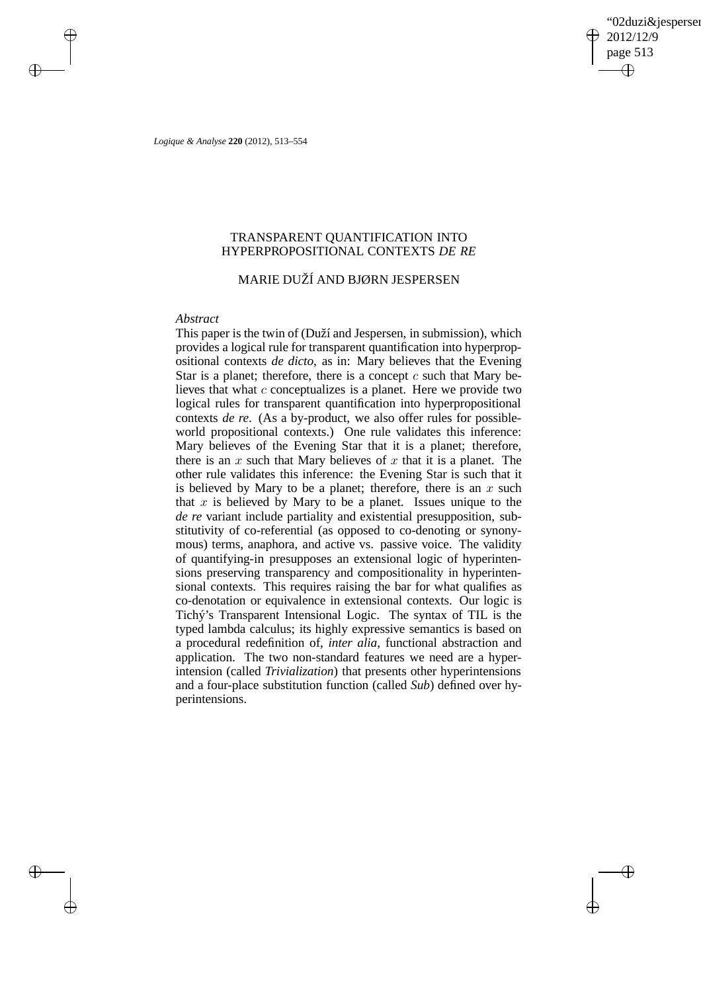'02duzi&jespersen' 2012/12/9 page 513 ✐ ✐

✐

✐

*Logique & Analyse* **220** (2012), 513–554

 $\rightarrow$ 

 $\rightarrow$ 

✐

✐

# TRANSPARENT QUANTIFICATION INTO HYPERPROPOSITIONAL CONTEXTS *DE RE*

# MARIE DUŽÍ AND BJØRN JESPERSEN

### *Abstract*

This paper is the twin of (Duží and Jespersen, in submission), which provides a logical rule for transparent quantification into hyperpropositional contexts *de dicto*, as in: Mary believes that the Evening Star is a planet; therefore, there is a concept  $c$  such that Mary believes that what  $c$  conceptualizes is a planet. Here we provide two logical rules for transparent quantification into hyperpropositional contexts *de re*. (As a by-product, we also offer rules for possibleworld propositional contexts.) One rule validates this inference: Mary believes of the Evening Star that it is a planet; therefore, there is an  $x$  such that Mary believes of  $x$  that it is a planet. The other rule validates this inference: the Evening Star is such that it is believed by Mary to be a planet; therefore, there is an  $x$  such that  $x$  is believed by Mary to be a planet. Issues unique to the *de re* variant include partiality and existential presupposition, substitutivity of co-referential (as opposed to co-denoting or synonymous) terms, anaphora, and active vs. passive voice. The validity of quantifying-in presupposes an extensional logic of hyperintensions preserving transparency and compositionality in hyperintensional contexts. This requires raising the bar for what qualifies as co-denotation or equivalence in extensional contexts. Our logic is Tichý's Transparent Intensional Logic. The syntax of TIL is the typed lambda calculus; its highly expressive semantics is based on a procedural redefinition of, *inter alia*, functional abstraction and application. The two non-standard features we need are a hyperintension (called *Trivialization*) that presents other hyperintensions and a four-place substitution function (called *Sub*) defined over hyperintensions.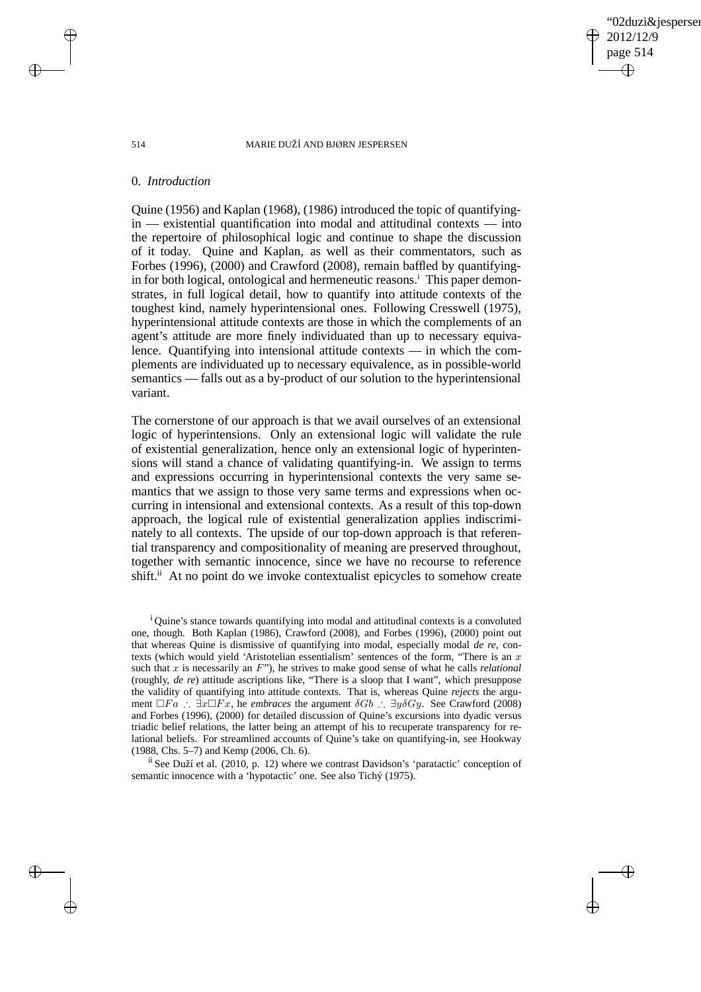02duzi&iespersen 2012/12/9 page 514 ✐ ✐

✐

✐

#### 514 MARIE DUŽÍ AND BJØRN JESPERSEN

### 0. *Introduction*

Quine (1956) and Kaplan (1968), (1986) introduced the topic of quantifyingin — existential quantification into modal and attitudinal contexts — into the repertoire of philosophical logic and continue to shape the discussion of it today. Quine and Kaplan, as well as their commentators, such as Forbes (1996), (2000) and Crawford (2008), remain baffled by quantifyingin for both logical, ontological and hermeneutic reasons.<sup>1</sup> This paper demonstrates, in full logical detail, how to quantify into attitude contexts of the toughest kind, namely hyperintensional ones. Following Cresswell (1975), hyperintensional attitude contexts are those in which the complements of an agent's attitude are more finely individuated than up to necessary equivalence. Quantifying into intensional attitude contexts — in which the complements are individuated up to necessary equivalence, as in possible-world semantics — falls out as a by-product of our solution to the hyperintensional variant.

The cornerstone of our approach is that we avail ourselves of an extensional logic of hyperintensions. Only an extensional logic will validate the rule of existential generalization, hence only an extensional logic of hyperintensions will stand a chance of validating quantifying-in. We assign to terms and expressions occurring in hyperintensional contexts the very same semantics that we assign to those very same terms and expressions when occurring in intensional and extensional contexts. As a result of this top-down approach, the logical rule of existential generalization applies indiscriminately to all contexts. The upside of our top-down approach is that referential transparency and compositionality of meaning are preserved throughout, together with semantic innocence, since we have no recourse to reference shift.<sup>ii</sup> At no point do we invoke contextualist epicycles to somehow create

<sup>1</sup> Quine's stance towards quantifying into modal and attitudinal contexts is a convoluted one, though. Both Kaplan (1986), Crawford (2008), and Forbes (1996), (2000) point out that whereas Quine is dismissive of quantifying into modal, especially modal *de re*, contexts (which would yield 'Aristotelian essentialism' sentences of the form, "There is an  $x$ such that x is necessarily an F"), he strives to make good sense of what he calls *relational* (roughly, *de re*) attitude ascriptions like, "There is a sloop that I want", which presuppose the validity of quantifying into attitude contexts. That is, whereas Quine *rejects* the argument  $\Box Fa$  ∴  $\exists x \Box Fx$ , he *embraces* the argument  $\delta Gb$  ∴  $\exists y \delta Gy$ . See Crawford (2008) and Forbes (1996), (2000) for detailed discussion of Quine's excursions into dyadic versus triadic belief relations, the latter being an attempt of his to recuperate transparency for relational beliefs. For streamlined accounts of Quine's take on quantifying-in, see Hookway (1988, Chs. 5–7) and Kemp (2006, Ch. 6).

<sup>11</sup> See Duží et al. (2010, p. 12) where we contrast Davidson's 'paratactic' conception of semantic innocence with a 'hypotactic' one. See also Tichý (1975).

 $\rightarrow$ 

 $\rightarrow$ 

✐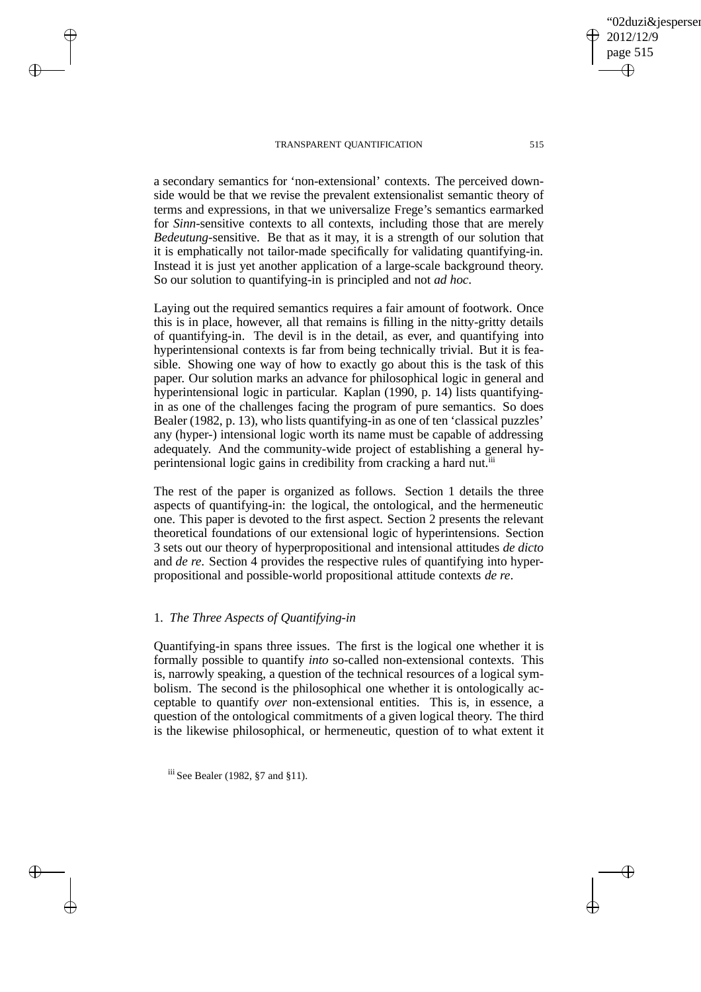a secondary semantics for 'non-extensional' contexts. The perceived downside would be that we revise the prevalent extensionalist semantic theory of terms and expressions, in that we universalize Frege's semantics earmarked for *Sinn*-sensitive contexts to all contexts, including those that are merely *Bedeutung*-sensitive. Be that as it may, it is a strength of our solution that it is emphatically not tailor-made specifically for validating quantifying-in. Instead it is just yet another application of a large-scale background theory. So our solution to quantifying-in is principled and not *ad hoc*.

Laying out the required semantics requires a fair amount of footwork. Once this is in place, however, all that remains is filling in the nitty-gritty details of quantifying-in. The devil is in the detail, as ever, and quantifying into hyperintensional contexts is far from being technically trivial. But it is feasible. Showing one way of how to exactly go about this is the task of this paper. Our solution marks an advance for philosophical logic in general and hyperintensional logic in particular. Kaplan (1990, p. 14) lists quantifyingin as one of the challenges facing the program of pure semantics. So does Bealer (1982, p. 13), who lists quantifying-in as one of ten 'classical puzzles' any (hyper-) intensional logic worth its name must be capable of addressing adequately. And the community-wide project of establishing a general hyperintensional logic gains in credibility from cracking a hard nut.<sup>iii</sup>

The rest of the paper is organized as follows. Section 1 details the three aspects of quantifying-in: the logical, the ontological, and the hermeneutic one. This paper is devoted to the first aspect. Section 2 presents the relevant theoretical foundations of our extensional logic of hyperintensions. Section 3 sets out our theory of hyperpropositional and intensional attitudes *de dicto* and *de re*. Section 4 provides the respective rules of quantifying into hyperpropositional and possible-world propositional attitude contexts *de re*.

# 1. *The Three Aspects of Quantifying-in*

 $\rightarrow$ 

 $\rightarrow$ 

✐

✐

Quantifying-in spans three issues. The first is the logical one whether it is formally possible to quantify *into* so-called non-extensional contexts. This is, narrowly speaking, a question of the technical resources of a logical symbolism. The second is the philosophical one whether it is ontologically acceptable to quantify *over* non-extensional entities. This is, in essence, a question of the ontological commitments of a given logical theory. The third is the likewise philosophical, or hermeneutic, question of to what extent it

iii See Bealer (1982, §7 and §11).

02duzi&iespersen

2012/12/9 page 515

✐

✐

✐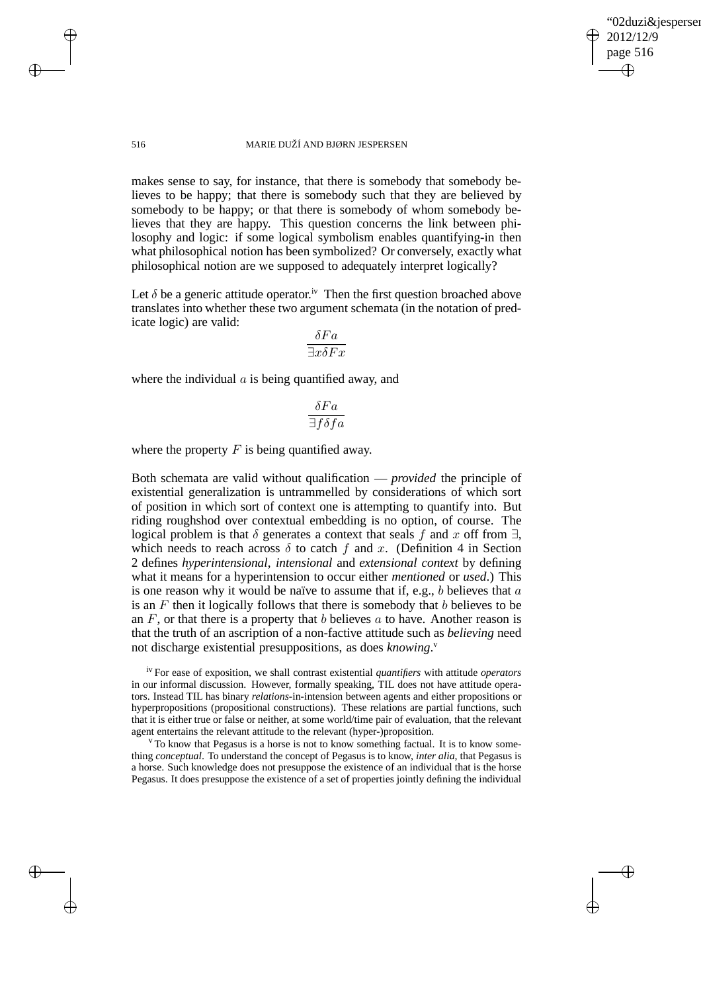✐

#### 516 MARIE DUŽÍ AND BJØRN JESPERSEN

makes sense to say, for instance, that there is somebody that somebody believes to be happy; that there is somebody such that they are believed by somebody to be happy; or that there is somebody of whom somebody believes that they are happy. This question concerns the link between philosophy and logic: if some logical symbolism enables quantifying-in then what philosophical notion has been symbolized? Or conversely, exactly what philosophical notion are we supposed to adequately interpret logically?

Let  $\delta$  be a generic attitude operator.<sup>iv</sup> Then the first question broached above translates into whether these two argument schemata (in the notation of predicate logic) are valid:

$$
\frac{\delta Fa}{\exists x \delta Fx}
$$

where the individual  $a$  is being quantified away, and

$$
\frac{\delta Fa}{\exists f \delta fa}
$$

where the property  $F$  is being quantified away.

Both schemata are valid without qualification — *provided* the principle of existential generalization is untrammelled by considerations of which sort of position in which sort of context one is attempting to quantify into. But riding roughshod over contextual embedding is no option, of course. The logical problem is that  $\delta$  generates a context that seals f and x off from  $\exists$ , which needs to reach across  $\delta$  to catch f and x. (Definition 4 in Section 2 defines *hyperintensional*, *intensional* and *extensional context* by defining what it means for a hyperintension to occur either *mentioned* or *used*.) This is one reason why it would be naïve to assume that if, e.g., b believes that  $a$ is an  $F$  then it logically follows that there is somebody that  $b$  believes to be an  $F$ , or that there is a property that b believes  $a$  to have. Another reason is that the truth of an ascription of a non-factive attitude such as *believing* need not discharge existential presuppositions, as does *knowing*. v

iv For ease of exposition, we shall contrast existential *quantifiers* with attitude *operators* in our informal discussion. However, formally speaking, TIL does not have attitude operators. Instead TIL has binary *relations*-in-intension between agents and either propositions or hyperpropositions (propositional constructions). These relations are partial functions, such that it is either true or false or neither, at some world/time pair of evaluation, that the relevant agent entertains the relevant attitude to the relevant (hyper-)proposition.

 $\rm{v}$  To know that Pegasus is a horse is not to know something factual. It is to know something *conceptual*. To understand the concept of Pegasus is to know, *inter alia*, that Pegasus is a horse. Such knowledge does not presuppose the existence of an individual that is the horse Pegasus. It does presuppose the existence of a set of properties jointly defining the individual

 $\rightarrow$ 

 $\rightarrow$ 

✐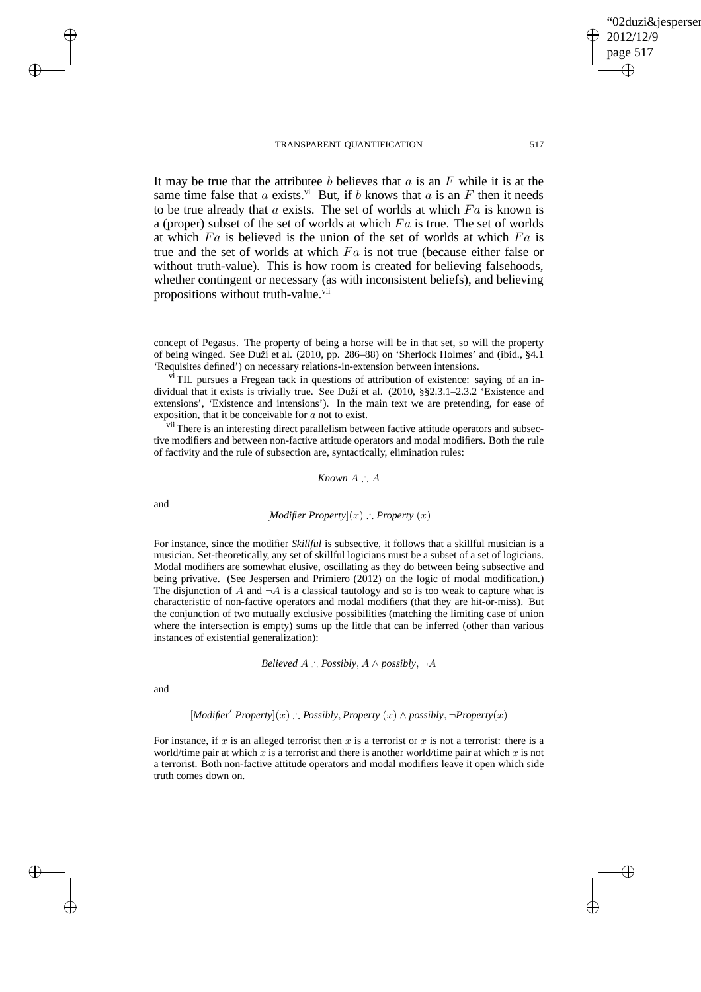### 02duzi&iespersen 2012/12/9 page 517 ✐ ✐

✐

✐

#### TRANSPARENT QUANTIFICATION 517

It may be true that the attributee b believes that  $a$  is an  $F$  while it is at the same time false that a exists.<sup>vi</sup> But, if b knows that a is an F then it needs to be true already that  $a$  exists. The set of worlds at which  $Fa$  is known is a (proper) subset of the set of worlds at which  $Fa$  is true. The set of worlds at which  $Fa$  is believed is the union of the set of worlds at which  $Fa$  is true and the set of worlds at which  $Fa$  is not true (because either false or without truth-value). This is how room is created for believing falsehoods, whether contingent or necessary (as with inconsistent beliefs), and believing propositions without truth-value.<sup>vii</sup>

concept of Pegasus. The property of being a horse will be in that set, so will the property of being winged. See Duží et al. (2010, pp. 286–88) on 'Sherlock Holmes' and (ibid., §4.1 'Requisites defined') on necessary relations-in-extension between intensions.

<sup>vi</sup> TIL pursues a Fregean tack in questions of attribution of existence: saying of an individual that it exists is trivially true. See Duží et al. (2010, §§2.3.1–2.3.2 'Existence and extensions', 'Existence and intensions'). In the main text we are pretending, for ease of exposition, that it be conceivable for a not to exist.

<sup>vii</sup> There is an interesting direct parallelism between factive attitude operators and subsective modifiers and between non-factive attitude operators and modal modifiers. Both the rule of factivity and the rule of subsection are, syntactically, elimination rules:

*Known* A ∴ A

and

 $\rightarrow$ 

✐

### [*Modifier Property*](x) ∴ *Property* (x)

For instance, since the modifier *Skillful* is subsective, it follows that a skillful musician is a musician. Set-theoretically, any set of skillful logicians must be a subset of a set of logicians. Modal modifiers are somewhat elusive, oscillating as they do between being subsective and being privative. (See Jespersen and Primiero (2012) on the logic of modal modification.) The disjunction of A and  $\neg A$  is a classical tautology and so is too weak to capture what is characteristic of non-factive operators and modal modifiers (that they are hit-or-miss). But the conjunction of two mutually exclusive possibilities (matching the limiting case of union where the intersection is empty) sums up the little that can be inferred (other than various instances of existential generalization):

*Believed* 
$$
A
$$
  $\therefore$  *Possibly*,  $A \land \text{possibly}$ ,  $\neg A$ 

and

 $\rightarrow$ 

✐

[*Modifier*′ *Property*](x) ∴ *Possibly*, *Property* (x) ∧ *possibly*, ¬*Property*(x)

For instance, if x is an alleged terrorist then x is a terrorist or x is not a terrorist: there is a world/time pair at which x is a terrorist and there is another world/time pair at which x is not a terrorist. Both non-factive attitude operators and modal modifiers leave it open which side truth comes down on.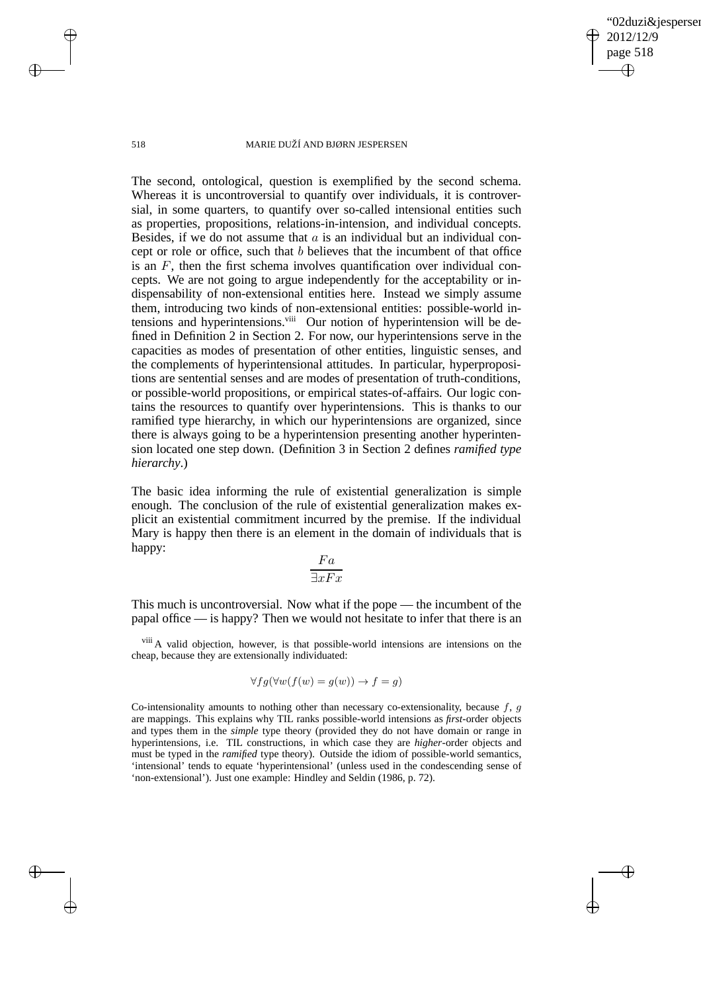✐

#### 518 MARIE DUŽÍ AND BJØRN JESPERSEN

The second, ontological, question is exemplified by the second schema. Whereas it is uncontroversial to quantify over individuals, it is controversial, in some quarters, to quantify over so-called intensional entities such as properties, propositions, relations-in-intension, and individual concepts. Besides, if we do not assume that  $\alpha$  is an individual but an individual concept or role or office, such that b believes that the incumbent of that office is an  $F$ , then the first schema involves quantification over individual concepts. We are not going to argue independently for the acceptability or indispensability of non-extensional entities here. Instead we simply assume them, introducing two kinds of non-extensional entities: possible-world intensions and hyperintensions.<sup>viii</sup> Our notion of hyperintension will be defined in Definition 2 in Section 2. For now, our hyperintensions serve in the capacities as modes of presentation of other entities, linguistic senses, and the complements of hyperintensional attitudes. In particular, hyperpropositions are sentential senses and are modes of presentation of truth-conditions, or possible-world propositions, or empirical states-of-affairs. Our logic contains the resources to quantify over hyperintensions. This is thanks to our ramified type hierarchy, in which our hyperintensions are organized, since there is always going to be a hyperintension presenting another hyperintension located one step down. (Definition 3 in Section 2 defines *ramified type hierarchy*.)

The basic idea informing the rule of existential generalization is simple enough. The conclusion of the rule of existential generalization makes explicit an existential commitment incurred by the premise. If the individual Mary is happy then there is an element in the domain of individuals that is happy:

$$
\frac{Fa}{\exists xFx}
$$

This much is uncontroversial. Now what if the pope — the incumbent of the papal office — is happy? Then we would not hesitate to infer that there is an

viii A valid objection, however, is that possible-world intensions are intensions on the cheap, because they are extensionally individuated:

$$
\forall fg(\forall w(f(w) = g(w)) \to f = g)
$$

Co-intensionality amounts to nothing other than necessary co-extensionality, because  $f, g$ are mappings. This explains why TIL ranks possible-world intensions as *first*-order objects and types them in the *simple* type theory (provided they do not have domain or range in hyperintensions, i.e. TIL constructions, in which case they are *higher*-order objects and must be typed in the *ramified* type theory). Outside the idiom of possible-world semantics, 'intensional' tends to equate 'hyperintensional' (unless used in the condescending sense of 'non-extensional'). Just one example: Hindley and Seldin (1986, p. 72).

 $\rightarrow$ 

 $\rightarrow$ 

✐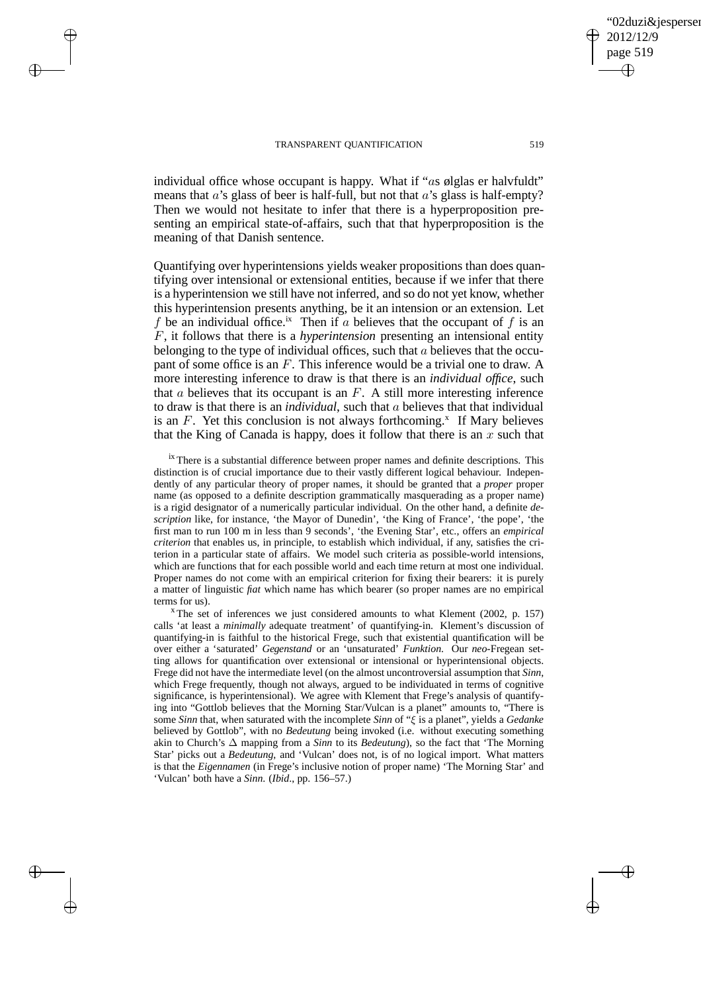$\rightarrow$ 

 $\rightarrow$ 

✐

✐

individual office whose occupant is happy. What if "as ølglas er halvfuldt" means that  $a$ 's glass of beer is half-full, but not that  $a$ 's glass is half-empty? Then we would not hesitate to infer that there is a hyperproposition presenting an empirical state-of-affairs, such that that hyperproposition is the meaning of that Danish sentence.

Quantifying over hyperintensions yields weaker propositions than does quantifying over intensional or extensional entities, because if we infer that there is a hyperintension we still have not inferred, and so do not yet know, whether this hyperintension presents anything, be it an intension or an extension. Let f be an individual office.<sup>ix</sup> Then if a believes that the occupant of f is an F, it follows that there is a *hyperintension* presenting an intensional entity belonging to the type of individual offices, such that a believes that the occupant of some office is an F. This inference would be a trivial one to draw. A more interesting inference to draw is that there is an *individual office*, such that  $a$  believes that its occupant is an  $F$ . A still more interesting inference to draw is that there is an *individual*, such that a believes that that individual is an  $F$ . Yet this conclusion is not always forthcoming.<sup>x</sup> If Mary believes that the King of Canada is happy, does it follow that there is an  $x$  such that

 $i<sup>x</sup>$  There is a substantial difference between proper names and definite descriptions. This distinction is of crucial importance due to their vastly different logical behaviour. Independently of any particular theory of proper names, it should be granted that a *proper* proper name (as opposed to a definite description grammatically masquerading as a proper name) is a rigid designator of a numerically particular individual. On the other hand, a definite *description* like, for instance, 'the Mayor of Dunedin', 'the King of France', 'the pope', 'the first man to run 100 m in less than 9 seconds', 'the Evening Star', etc., offers an *empirical criterion* that enables us, in principle, to establish which individual, if any, satisfies the criterion in a particular state of affairs. We model such criteria as possible-world intensions, which are functions that for each possible world and each time return at most one individual. Proper names do not come with an empirical criterion for fixing their bearers: it is purely a matter of linguistic *fiat* which name has which bearer (so proper names are no empirical terms for us).

 $x$  The set of inferences we just considered amounts to what Klement (2002, p. 157) calls 'at least a *minimally* adequate treatment' of quantifying-in. Klement's discussion of quantifying-in is faithful to the historical Frege, such that existential quantification will be over either a 'saturated' *Gegenstand* or an 'unsaturated' *Funktion*. Our *neo*-Fregean setting allows for quantification over extensional or intensional or hyperintensional objects. Frege did not have the intermediate level (on the almost uncontroversial assumption that *Sinn*, which Frege frequently, though not always, argued to be individuated in terms of cognitive significance, is hyperintensional). We agree with Klement that Frege's analysis of quantifying into "Gottlob believes that the Morning Star/Vulcan is a planet" amounts to, "There is some *Sinn* that, when saturated with the incomplete *Sinn* of "ξ is a planet", yields a *Gedanke* believed by Gottlob", with no *Bedeutung* being invoked (i.e. without executing something akin to Church's ∆ mapping from a *Sinn* to its *Bedeutung*), so the fact that 'The Morning Star' picks out a *Bedeutung*, and 'Vulcan' does not, is of no logical import. What matters is that the *Eigennamen* (in Frege's inclusive notion of proper name) 'The Morning Star' and 'Vulcan' both have a *Sinn*. (*Ibid*., pp. 156–57.)

✐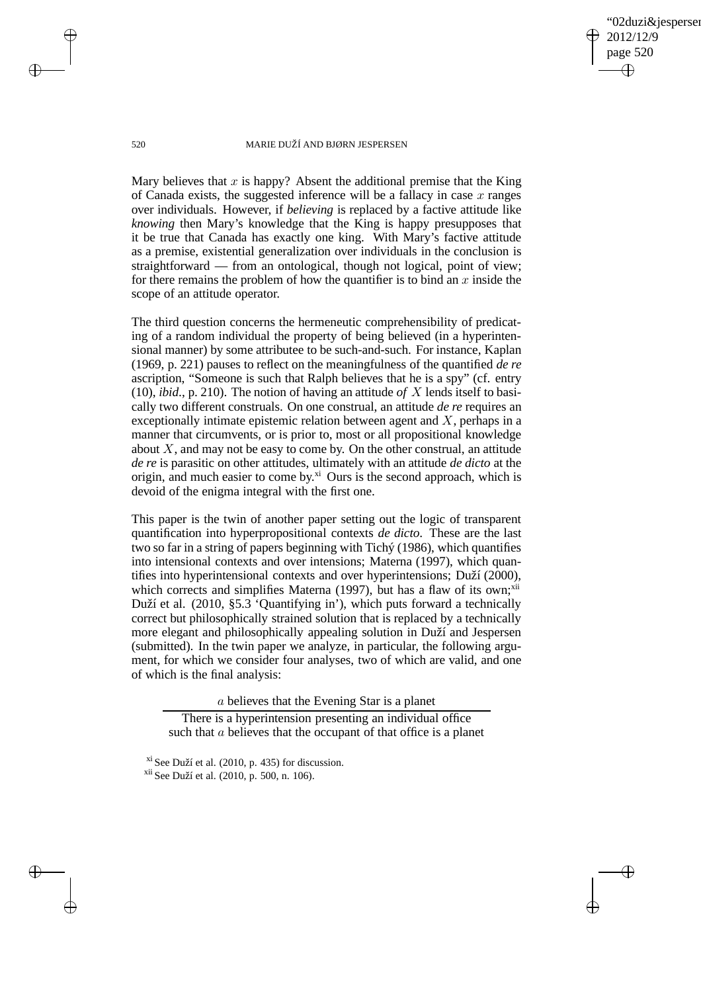✐

#### 520 MARIE DUŽÍ AND BJØRN JESPERSEN

Mary believes that  $x$  is happy? Absent the additional premise that the King of Canada exists, the suggested inference will be a fallacy in case  $x$  ranges over individuals. However, if *believing* is replaced by a factive attitude like *knowing* then Mary's knowledge that the King is happy presupposes that it be true that Canada has exactly one king. With Mary's factive attitude as a premise, existential generalization over individuals in the conclusion is straightforward — from an ontological, though not logical, point of view; for there remains the problem of how the quantifier is to bind an  $x$  inside the scope of an attitude operator.

The third question concerns the hermeneutic comprehensibility of predicating of a random individual the property of being believed (in a hyperintensional manner) by some attributee to be such-and-such. For instance, Kaplan (1969, p. 221) pauses to reflect on the meaningfulness of the quantified *de re* ascription, "Someone is such that Ralph believes that he is a spy" (cf. entry (10), *ibid*., p. 210). The notion of having an attitude *of* X lends itself to basically two different construals. On one construal, an attitude *de re* requires an exceptionally intimate epistemic relation between agent and  $X$ , perhaps in a manner that circumvents, or is prior to, most or all propositional knowledge about  $X$ , and may not be easy to come by. On the other construal, an attitude *de re* is parasitic on other attitudes, ultimately with an attitude *de dicto* at the origin, and much easier to come by. $^{xi}$  Ours is the second approach, which is devoid of the enigma integral with the first one.

This paper is the twin of another paper setting out the logic of transparent quantification into hyperpropositional contexts *de dicto*. These are the last two so far in a string of papers beginning with Tichý (1986), which quantifies into intensional contexts and over intensions; Materna (1997), which quantifies into hyperintensional contexts and over hyperintensions; Duží (2000), which corrects and simplifies Materna (1997), but has a flaw of its own;<sup>xii</sup> Duží et al. (2010, §5.3 'Quantifying in'), which puts forward a technically correct but philosophically strained solution that is replaced by a technically more elegant and philosophically appealing solution in Duží and Jespersen (submitted). In the twin paper we analyze, in particular, the following argument, for which we consider four analyses, two of which are valid, and one of which is the final analysis:

a believes that the Evening Star is a planet

There is a hyperintension presenting an individual office such that  $\alpha$  believes that the occupant of that office is a planet

 $\rightarrow$ 

 $\rightarrow$ 

✐

xi See Duží et al. (2010, p. 435) for discussion. xii See Duží et al. (2010, p. 500, n. 106).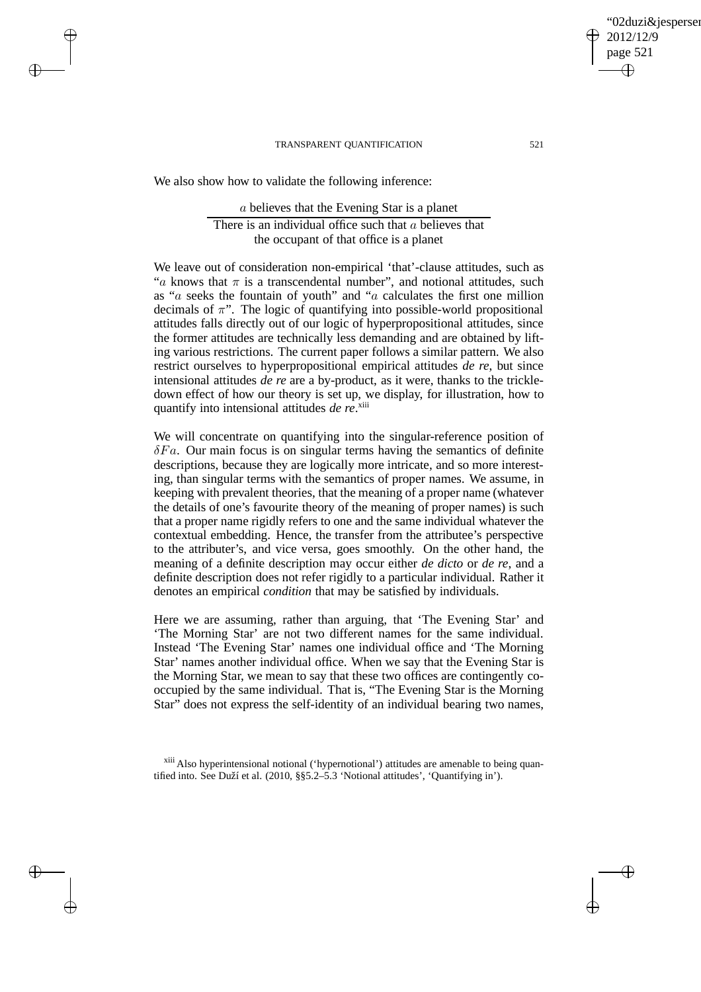We also show how to validate the following inference:

 $\rightarrow$ 

 $\rightarrow$ 

✐

✐

a believes that the Evening Star is a planet There is an individual office such that a believes that the occupant of that office is a planet

We leave out of consideration non-empirical 'that'-clause attitudes, such as "a knows that  $\pi$  is a transcendental number", and notional attitudes, such as "a seeks the fountain of youth" and "a calculates the first one million decimals of  $\pi$ ". The logic of quantifying into possible-world propositional attitudes falls directly out of our logic of hyperpropositional attitudes, since the former attitudes are technically less demanding and are obtained by lifting various restrictions. The current paper follows a similar pattern. We also restrict ourselves to hyperpropositional empirical attitudes *de re*, but since intensional attitudes *de re* are a by-product, as it were, thanks to the trickledown effect of how our theory is set up, we display, for illustration, how to quantify into intensional attitudes *de re*.<sup>xiii</sup>

We will concentrate on quantifying into the singular-reference position of  $\delta Fa$ . Our main focus is on singular terms having the semantics of definite descriptions, because they are logically more intricate, and so more interesting, than singular terms with the semantics of proper names. We assume, in keeping with prevalent theories, that the meaning of a proper name (whatever the details of one's favourite theory of the meaning of proper names) is such that a proper name rigidly refers to one and the same individual whatever the contextual embedding. Hence, the transfer from the attributee's perspective to the attributer's, and vice versa, goes smoothly. On the other hand, the meaning of a definite description may occur either *de dicto* or *de re*, and a definite description does not refer rigidly to a particular individual. Rather it denotes an empirical *condition* that may be satisfied by individuals.

Here we are assuming, rather than arguing, that 'The Evening Star' and 'The Morning Star' are not two different names for the same individual. Instead 'The Evening Star' names one individual office and 'The Morning Star' names another individual office. When we say that the Evening Star is the Morning Star, we mean to say that these two offices are contingently cooccupied by the same individual. That is, "The Evening Star is the Morning Star" does not express the self-identity of an individual bearing two names,

xiii Also hyperintensional notional ('hypernotional') attitudes are amenable to being quantified into. See Duží et al. (2010, §§5.2–5.3 'Notional attitudes', 'Quantifying in').

02duzi&iespersen

2012/12/9 page 521

✐

✐

✐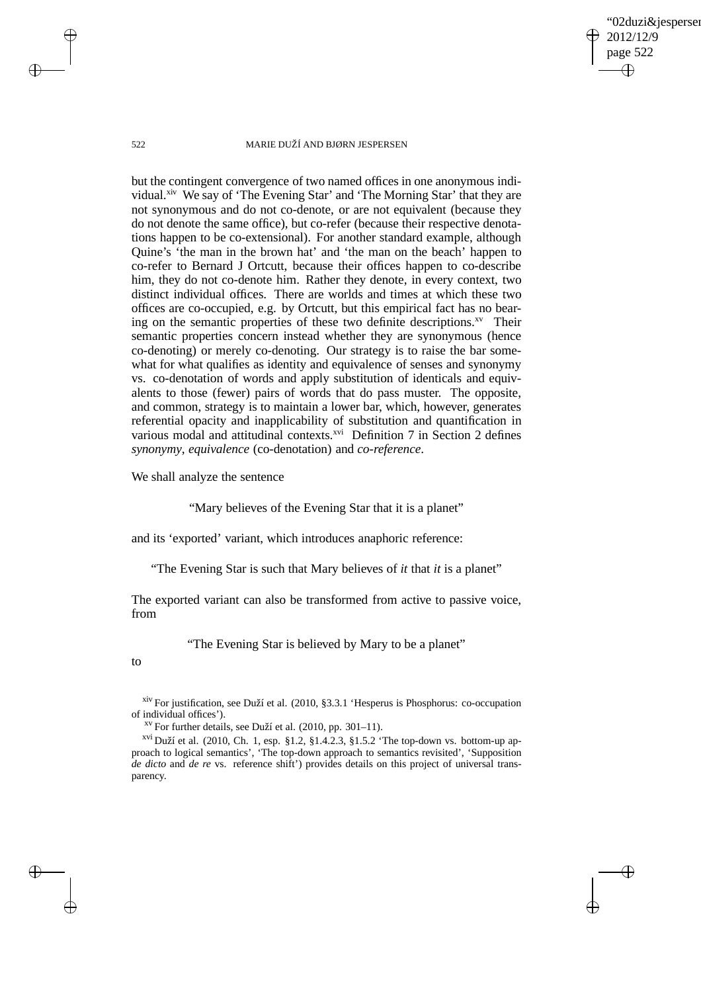✐

#### 522 MARIE DUŽÍ AND BJØRN JESPERSEN

but the contingent convergence of two named offices in one anonymous individual.<sup>xiv</sup> We say of 'The Evening Star' and 'The Morning Star' that they are not synonymous and do not co-denote, or are not equivalent (because they do not denote the same office), but co-refer (because their respective denotations happen to be co-extensional). For another standard example, although Quine's 'the man in the brown hat' and 'the man on the beach' happen to co-refer to Bernard J Ortcutt, because their offices happen to co-describe him, they do not co-denote him. Rather they denote, in every context, two distinct individual offices. There are worlds and times at which these two offices are co-occupied, e.g. by Ortcutt, but this empirical fact has no bearing on the semantic properties of these two definite descriptions.<sup>xv</sup> Their semantic properties concern instead whether they are synonymous (hence co-denoting) or merely co-denoting. Our strategy is to raise the bar somewhat for what qualifies as identity and equivalence of senses and synonymy vs. co-denotation of words and apply substitution of identicals and equivalents to those (fewer) pairs of words that do pass muster. The opposite, and common, strategy is to maintain a lower bar, which, however, generates referential opacity and inapplicability of substitution and quantification in various modal and attitudinal contexts.<sup>xvi</sup> Definition 7 in Section 2 defines *synonymy*, *equivalence* (co-denotation) and *co-reference*.

We shall analyze the sentence

"Mary believes of the Evening Star that it is a planet"

and its 'exported' variant, which introduces anaphoric reference:

"The Evening Star is such that Mary believes of *it* that *it* is a planet"

The exported variant can also be transformed from active to passive voice, from

"The Evening Star is believed by Mary to be a planet"

to

 $\rightarrow$ 

✐

 $\rightarrow$ 

xiv For justification, see Duží et al. (2010, §3.3.1 'Hesperus is Phosphorus: co-occupation of individual offices').

xv For further details, see Duží et al. (2010, pp. 301–11).

xvi Duží et al. (2010, Ch. 1, esp. §1.2, §1.4.2.3, §1.5.2 'The top-down vs. bottom-up approach to logical semantics', 'The top-down approach to semantics revisited', 'Supposition *de dicto* and *de re* vs. reference shift') provides details on this project of universal transparency.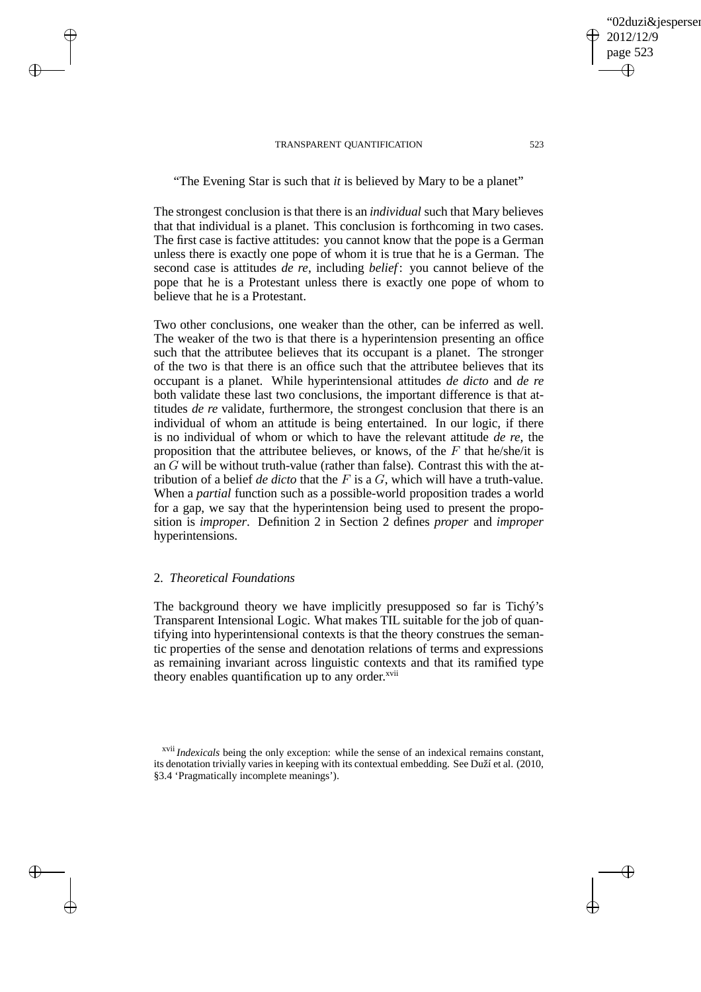"The Evening Star is such that *it* is believed by Mary to be a planet"

The strongest conclusion is that there is an *individual* such that Mary believes that that individual is a planet. This conclusion is forthcoming in two cases. The first case is factive attitudes: you cannot know that the pope is a German unless there is exactly one pope of whom it is true that he is a German. The second case is attitudes *de re*, including *belief* : you cannot believe of the pope that he is a Protestant unless there is exactly one pope of whom to believe that he is a Protestant.

Two other conclusions, one weaker than the other, can be inferred as well. The weaker of the two is that there is a hyperintension presenting an office such that the attributee believes that its occupant is a planet. The stronger of the two is that there is an office such that the attributee believes that its occupant is a planet. While hyperintensional attitudes *de dicto* and *de re* both validate these last two conclusions, the important difference is that attitudes *de re* validate, furthermore, the strongest conclusion that there is an individual of whom an attitude is being entertained. In our logic, if there is no individual of whom or which to have the relevant attitude *de re*, the proposition that the attributee believes, or knows, of the  $F$  that he/she/it is an G will be without truth-value (rather than false). Contrast this with the attribution of a belief *de dicto* that the F is a G, which will have a truth-value. When a *partial* function such as a possible-world proposition trades a world for a gap, we say that the hyperintension being used to present the proposition is *improper*. Definition 2 in Section 2 defines *proper* and *improper* hyperintensions.

### 2. *Theoretical Foundations*

 $\rightarrow$ 

 $\rightarrow$ 

✐

✐

The background theory we have implicitly presupposed so far is Tichý's Transparent Intensional Logic. What makes TIL suitable for the job of quantifying into hyperintensional contexts is that the theory construes the semantic properties of the sense and denotation relations of terms and expressions as remaining invariant across linguistic contexts and that its ramified type theory enables quantification up to any order. $x$ <sup>vii</sup>

02duzi&iespersen

2012/12/9 page 523

✐

✐

✐

xvii *Indexicals* being the only exception: while the sense of an indexical remains constant, its denotation trivially varies in keeping with its contextual embedding. See Duží et al. (2010, §3.4 'Pragmatically incomplete meanings').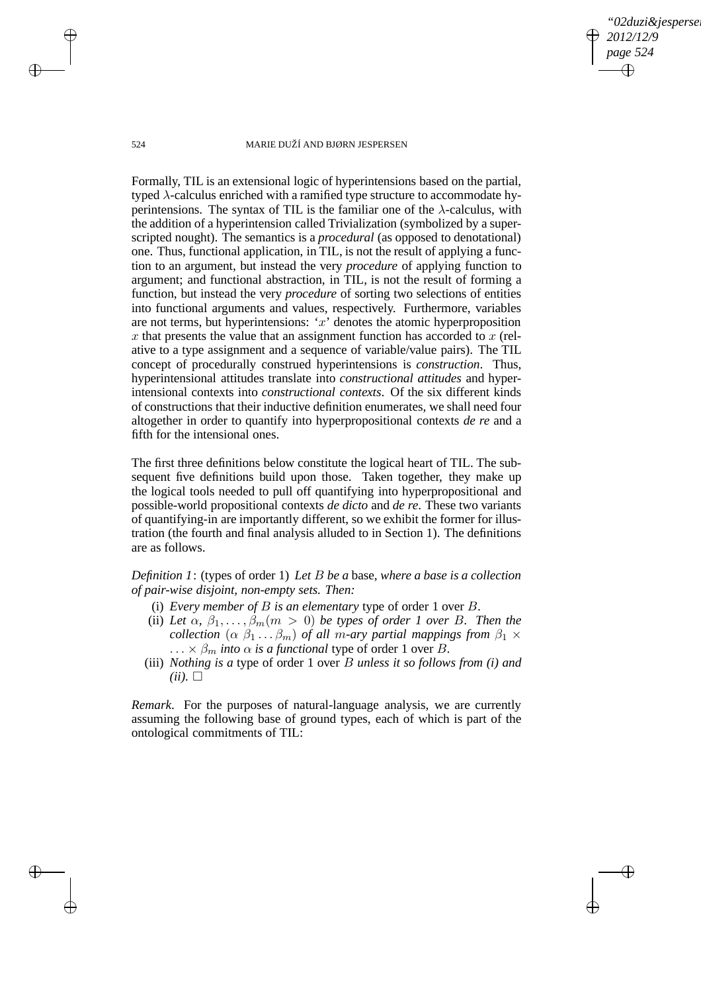*"02duzi&jespersen" 2012/12/9 page 524* ✐ ✐

✐

✐

#### 524 MARIE DUŽÍ AND BJØRN JESPERSEN

Formally, TIL is an extensional logic of hyperintensions based on the partial, typed  $\lambda$ -calculus enriched with a ramified type structure to accommodate hyperintensions. The syntax of TIL is the familiar one of the  $\lambda$ -calculus, with the addition of a hyperintension called Trivialization (symbolized by a superscripted nought). The semantics is a *procedural* (as opposed to denotational) one. Thus, functional application, in TIL, is not the result of applying a function to an argument, but instead the very *procedure* of applying function to argument; and functional abstraction, in TIL, is not the result of forming a function, but instead the very *procedure* of sorting two selections of entities into functional arguments and values, respectively. Furthermore, variables are not terms, but hyperintensions:  $x'$  denotes the atomic hyperproposition x that presents the value that an assignment function has accorded to  $x$  (relative to a type assignment and a sequence of variable/value pairs). The TIL concept of procedurally construed hyperintensions is *construction*. Thus, hyperintensional attitudes translate into *constructional attitudes* and hyperintensional contexts into *constructional contexts*. Of the six different kinds of constructions that their inductive definition enumerates, we shall need four altogether in order to quantify into hyperpropositional contexts *de re* and a fifth for the intensional ones.

The first three definitions below constitute the logical heart of TIL. The subsequent five definitions build upon those. Taken together, they make up the logical tools needed to pull off quantifying into hyperpropositional and possible-world propositional contexts *de dicto* and *de re*. These two variants of quantifying-in are importantly different, so we exhibit the former for illustration (the fourth and final analysis alluded to in Section 1). The definitions are as follows.

*Definition 1*: (types of order 1) *Let* B *be a* base*, where a base is a collection of pair-wise disjoint, non-empty sets. Then:*

- (i) *Every member of* B *is an elementary* type of order 1 over B*.*
- (ii) Let  $\alpha$ ,  $\beta_1, \ldots, \beta_m$  ( $m > 0$ ) *be types of order 1 over B. Then the collection*  $(\alpha \beta_1 \dots \beta_m)$  *of all m-ary partial mappings from*  $\beta_1 \times$ ...  $\times$   $\beta_m$  *into*  $\alpha$  *is a functional* type of order 1 over *B*.
- (iii) *Nothing is a* type of order 1 over B *unless it so follows from (i) and*  $(ii). \square$

*Remark*. For the purposes of natural-language analysis, we are currently assuming the following base of ground types, each of which is part of the ontological commitments of TIL:

 $\rightarrow$ 

 $\rightarrow$ 

✐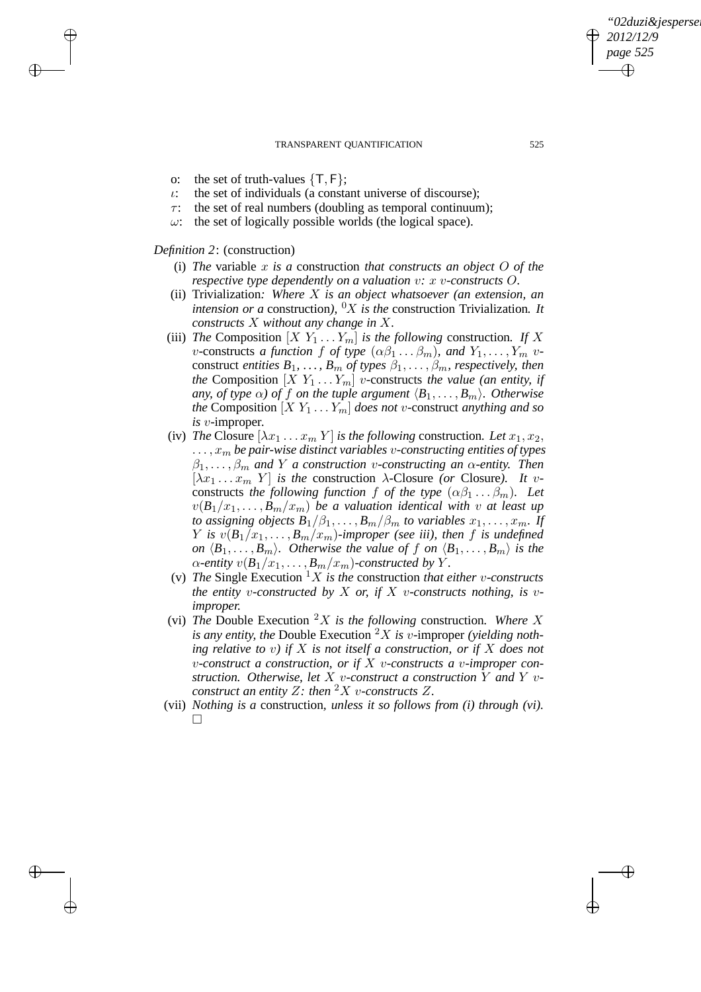- o: the set of truth-values  $\{T, F\}$ ;
- $\iota$ : the set of individuals (a constant universe of discourse);
- $\tau$ : the set of real numbers (doubling as temporal continuum);
- $\omega$ : the set of logically possible worlds (the logical space).

### *Definition 2*: (construction)

 $\rightarrow$ 

 $\rightarrow$ 

✐

✐

- (i) *The* variable x *is a* construction *that constructs an object* O *of the respective type dependently on a valuation* v*:* x v*-constructs* O*.*
- (ii) Trivialization*: Where* X *is an object whatsoever (an extension, an intension or a* construction),  $\partial X$  *is the* construction Trivialization. It *constructs* X *without any change in* X*.*
- (iii) *The* Composition  $[X Y_1 ... Y_m]$  *is the following* construction. If X *v*-constructs *a function* f *of type*  $(\alpha\beta_1 \dots \beta_m)$ *, and*  $Y_1, \dots, Y_m$  *v*construct *entities*  $B_1, \ldots, B_m$  *of types*  $\beta_1, \ldots, \beta_m$ *, respectively, then the* Composition  $[X \ Y_1 \dots Y_m]$  *v*-constructs *the value (an entity, if any, of type*  $\alpha$ *) of f on the tuple argument*  $\langle B_1, \ldots, B_m \rangle$ *. Otherwise the* Composition  $[X Y_1 ... Y_m]$  *does not v*-construct *anything and so is* v*-*improper*.*
- (iv) *The* Closure  $[\lambda x_1 \ldots x_m Y]$  *is the following* construction. Let  $x_1, x_2$ ,  $\dots, x_m$  be pair-wise distinct variables *v*-constructing entities of types  $\beta_1, \ldots, \beta_m$  and Y a construction *v*-constructing an  $\alpha$ -entity. Then  $[\lambda x_1 \dots x_m Y]$  *is the* construction  $\lambda$ -Closure *(or* Closure). It vconstructs *the following function* f *of the type*  $(\alpha\beta_1 \dots \beta_m)$ *. Let*  $v(B_1/x_1, \ldots, B_m/x_m)$  *be a valuation identical with* v *at least up to assigning objects*  $B_1/\beta_1, \ldots, B_m/\beta_m$  *to variables*  $x_1, \ldots, x_m$ . If *Y is*  $v(B_1/x_1, \ldots, B_m/x_m)$ -improper (see iii), then f is undefined *on*  $\langle B_1, \ldots, B_m \rangle$ *. Otherwise the value of* f *on*  $\langle B_1, \ldots, B_m \rangle$  *is the*  $\alpha$ -entity  $v(B_1/x_1, \ldots, B_m/x_m)$ -constructed by Y.
- (v) The Single Execution  ${}^{1}X$  *is the* construction *that either v*-*constructs the entity* v-constructed by X or, if X v-constructs nothing, is v*improper.*
- (vi) *The* Double Execution  ${}^2X$  *is the following* construction. Where X *is any entity, the* Double Execution <sup>2</sup>X *is* v*-*improper *(yielding nothing relative to* v*) if* X *is not itself a construction, or if* X *does not* v*-construct a construction, or if* X v*-constructs a* v*-improper construction. Otherwise, let* X v*-construct a construction* Y *and* Y v*construct an entity* Z: then  ${}^2X$  *v*-constructs Z.
- (vii) *Nothing is a* construction*, unless it so follows from (i) through (vi).*  $\Box$

*"02duzi&jespersen"*

*2012/12/9 page 525*

✐

✐

✐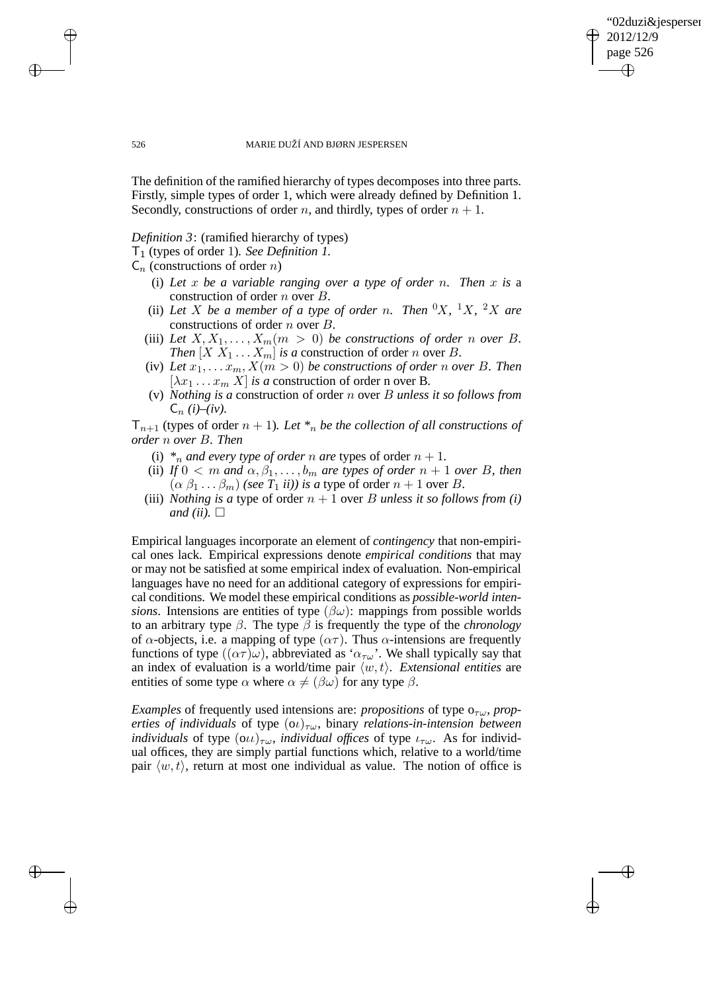"02duzi&jespersen" 2012/12/9 page 526 ✐ ✐

✐

✐

526 MARIE DUŽÍ AND BJØRN JESPERSEN

The definition of the ramified hierarchy of types decomposes into three parts. Firstly, simple types of order 1, which were already defined by Definition 1. Secondly, constructions of order *n*, and thirdly, types of order  $n + 1$ .

*Definition 3*: (ramified hierarchy of types)

T1 (types of order 1)*. See Definition 1.*

 $C_n$  (constructions of order *n*)

- (i) *Let* x *be a variable ranging over a type of order* n*. Then* x *is* a construction of order n over B*.*
- (ii) Let X be a member of a type of order n. Then  ${}^{0}X$ ,  ${}^{1}X$ ,  ${}^{2}X$  are constructions of order n over B*.*
- (iii) Let  $X, X_1, \ldots, X_m$  ( $m > 0$ ) *be constructions of order n over B*. *Then*  $[X X_1 ... X_m]$  *is a* construction of order *n* over *B*.
- (iv) Let  $x_1, \ldots, x_m, X(m > 0)$  be constructions of order n over B. Then  $[\lambda x_1 \dots x_m X]$  *is a* construction of order n over B.
- (v) *Nothing is a* construction of order n over B *unless it so follows from*  $C_n$  (*i*)–(*iv*).

 $T_{n+1}$  (types of order  $n + 1$ ). Let  $*_n$  be the collection of all constructions of *order* n *over* B*. Then*

- (i)  $*_n$  *and every type of order n are types of order*  $n + 1$ *.*
- (ii) *If*  $0 < m$  *and*  $\alpha, \beta_1, \ldots, \beta_m$  *are types of order*  $n + 1$  *over B, then*  $(\alpha \beta_1 \dots \beta_m)$  *(see T<sub>1</sub> ii)) is a type of order*  $n + 1$  *over B.*
- (iii) *Nothing is a type of order*  $n + 1$  over *B unless it so follows from (i) and (ii).*  $\Box$

Empirical languages incorporate an element of *contingency* that non-empirical ones lack. Empirical expressions denote *empirical conditions* that may or may not be satisfied at some empirical index of evaluation. Non-empirical languages have no need for an additional category of expressions for empirical conditions. We model these empirical conditions as *possible-world intensions*. Intensions are entities of type  $(\beta \omega)$ : mappings from possible worlds to an arbitrary type  $\beta$ . The type  $\beta$  is frequently the type of the *chronology* of  $\alpha$ -objects, i.e. a mapping of type  $(\alpha \tau)$ . Thus  $\alpha$ -intensions are frequently functions of type  $((\alpha \tau)\omega)$ , abbreviated as ' $\alpha_{\tau\omega}$ '. We shall typically say that an index of evaluation is a world/time pair  $\langle w, t \rangle$ . *Extensional entities* are entities of some type  $\alpha$  where  $\alpha \neq (\beta \omega)$  for any type  $\beta$ .

*Examples* of frequently used intensions are: *propositions* of type  $o_{\tau(\mu)}$ , *properties of individuals* of type  $(\omega)_{\tau\omega}$ , binary *relations-in-intension between individuals* of type  $(\alpha \iota)_{\tau \omega}$ *, individual offices* of type  $\iota_{\tau \omega}$ . As for individual offices, they are simply partial functions which, relative to a world/time pair  $\langle w, t \rangle$ , return at most one individual as value. The notion of office is

 $\rightarrow$ 

 $\rightarrow$ 

✐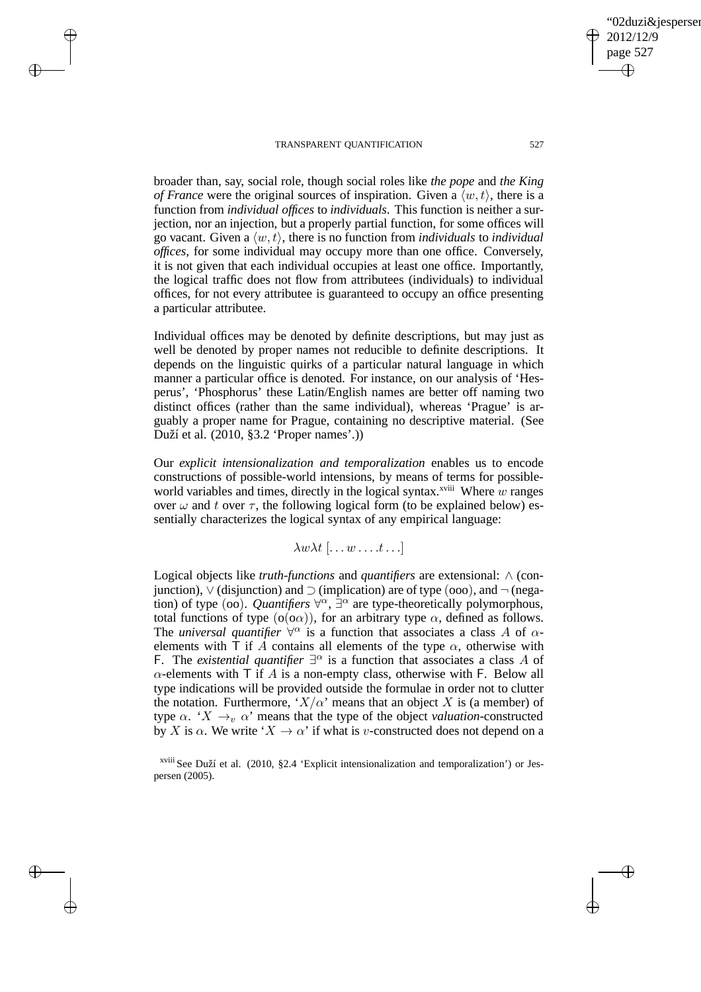$\rightarrow$ 

 $\rightarrow$ 

✐

✐

TRANSPARENT QUANTIFICATION 527

02duzi&iespersen

2012/12/9 page 527

✐

✐

✐

✐

broader than, say, social role, though social roles like *the pope* and *the King of France* were the original sources of inspiration. Given a  $\langle w, t \rangle$ , there is a function from *individual offices* to *individuals*. This function is neither a surjection, nor an injection, but a properly partial function, for some offices will go vacant. Given a  $\langle w, t \rangle$ , there is no function from *individuals* to *individual offices*, for some individual may occupy more than one office. Conversely, it is not given that each individual occupies at least one office. Importantly, the logical traffic does not flow from attributees (individuals) to individual offices, for not every attributee is guaranteed to occupy an office presenting a particular attributee.

Individual offices may be denoted by definite descriptions, but may just as well be denoted by proper names not reducible to definite descriptions. It depends on the linguistic quirks of a particular natural language in which manner a particular office is denoted. For instance, on our analysis of 'Hesperus', 'Phosphorus' these Latin/English names are better off naming two distinct offices (rather than the same individual), whereas 'Prague' is arguably a proper name for Prague, containing no descriptive material. (See Duží et al. (2010, §3.2 'Proper names'.))

Our *explicit intensionalization and temporalization* enables us to encode constructions of possible-world intensions, by means of terms for possibleworld variables and times, directly in the logical syntax.<sup>xviii</sup> Where w ranges over  $\omega$  and t over  $\tau$ , the following logical form (to be explained below) essentially characterizes the logical syntax of any empirical language:

$$
\lambda w \lambda t\, [\ldots w \ldots t \ldots]
$$

Logical objects like *truth-functions* and *quantifiers* are extensional: ∧ (conjunction),  $\vee$  (disjunction) and  $\supset$  (implication) are of type (ooo), and  $\neg$  (negation) of type (oo). *Quantifiers*  $\forall^{\alpha}$ ,  $\exists^{\alpha}$  are type-theoretically polymorphous, total functions of type  $(o(o\alpha))$ , for an arbitrary type  $\alpha$ , defined as follows. The *universal quantifier*  $\forall^{\alpha}$  is a function that associates a class A of  $\alpha$ elements with  $\overline{T}$  if A contains all elements of the type  $\alpha$ , otherwise with F. The *existential quantifier*  $\exists^{\alpha}$  is a function that associates a class A of  $\alpha$ -elements with T if A is a non-empty class, otherwise with F. Below all type indications will be provided outside the formulae in order not to clutter the notation. Furthermore, ' $X/\alpha$ ' means that an object X is (a member) of type  $\alpha$ . ' $X \rightarrow_{\alpha} \alpha$ ' means that the type of the object *valuation*-constructed by X is  $\alpha$ . We write ' $X \to \alpha$ ' if what is v-constructed does not depend on a

xviii See Duží et al. (2010, §2.4 'Explicit intensionalization and temporalization') or Jespersen (2005).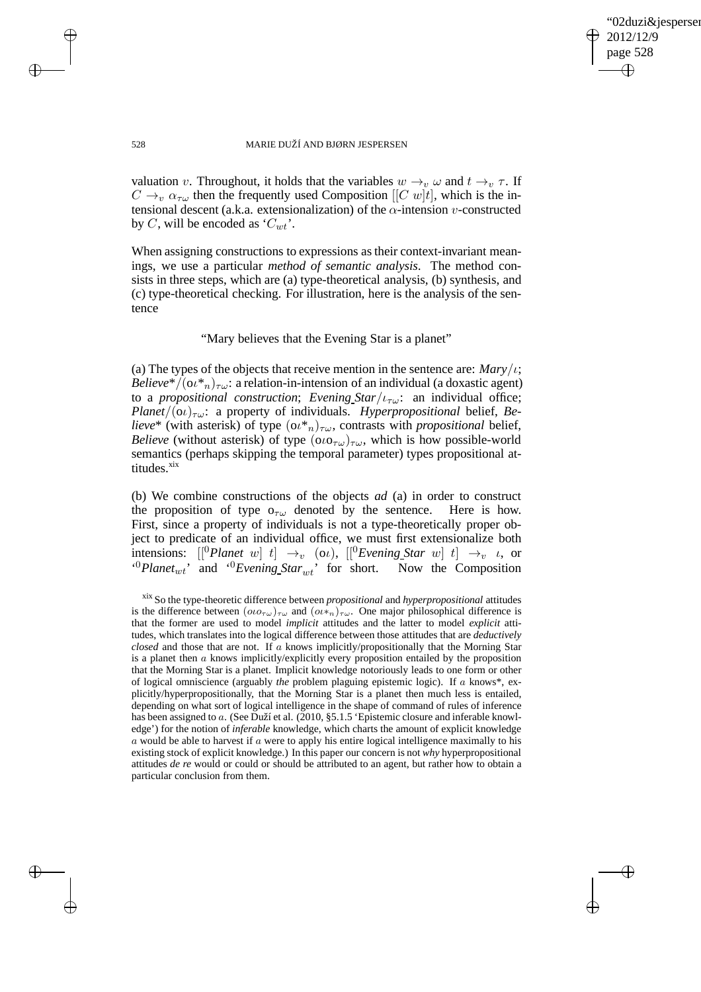✐

#### 528 MARIE DUŽÍ AND BJØRN JESPERSEN

valuation v. Throughout, it holds that the variables  $w \rightarrow_v \omega$  and  $t \rightarrow_v \tau$ . If  $C \rightarrow_v \alpha_{\tau\omega}$  then the frequently used Composition  $\left[ \left[ C \; w \right] t \right]$ , which is the intensional descent (a.k.a. extensionalization) of the  $\alpha$ -intension v-constructed by C, will be encoded as ' $C_{wt}$ '.

When assigning constructions to expressions as their context-invariant meanings, we use a particular *method of semantic analysis*. The method consists in three steps, which are (a) type-theoretical analysis, (b) synthesis, and (c) type-theoretical checking. For illustration, here is the analysis of the sentence

### "Mary believes that the Evening Star is a planet"

(a) The types of the objects that receive mention in the sentence are:  $Mary/t$ ; *Believe*\*/ $(\omega^*)_{\tau\omega}$ : a relation-in-intension of an individual (a doxastic agent) to a *propositional construction*; *Evening*  $Star/\iota_{\tau\omega}$ : an individual office; *Planet*/ $(0\nu)_{\tau\omega}$ : a property of individuals. *Hyperpropositional* belief, *Believe*\* (with asterisk) of type  $(\omega^*_{n})_{\tau\omega}$ , contrasts with *propositional* belief, *Believe* (without asterisk) of type  $(\omega \circ \tau_{\omega})_{\tau \omega}$ , which is how possible-world semantics (perhaps skipping the temporal parameter) types propositional attitudes.xix

(b) We combine constructions of the objects *ad* (a) in order to construct the proposition of type  $o_{\tau\omega}$  denoted by the sentence. Here is how. First, since a property of individuals is not a type-theoretically proper object to predicate of an individual office, we must first extensionalize both intensions:  $\left[\begin{array}{ccc} [^0Planet \; w] \; t \end{array}\right] \; \rightarrow_v \; (o\iota), \; \left[\begin{array}{ccc} [^0Evening\_Star \; w] \; t \end{array}\right] \; \rightarrow_v \; \iota, \; \text{or}$  $^{(0)}$ Planet<sub>wt</sub>' and  $^{(0)}$ Evening Star<sub>wt</sub>' for short. Now the Composition

 $\rightarrow$ 

 $\rightarrow$ 

✐

xix So the type-theoretic difference between *propositional* and *hyperpropositional* attitudes is the difference between  $(ou_{\tau\omega})_{\tau\omega}$  and  $(ou_{\tau n})_{\tau\omega}$ . One major philosophical difference is that the former are used to model *implicit* attitudes and the latter to model *explicit* attitudes, which translates into the logical difference between those attitudes that are *deductively closed* and those that are not. If a knows implicitly/propositionally that the Morning Star is a planet then  $a$  knows implicitly/explicitly every proposition entailed by the proposition that the Morning Star is a planet. Implicit knowledge notoriously leads to one form or other of logical omniscience (arguably *the* problem plaguing epistemic logic). If a knows\*, explicitly/hyperpropositionally, that the Morning Star is a planet then much less is entailed, depending on what sort of logical intelligence in the shape of command of rules of inference has been assigned to a. (See Duží et al. (2010, §5.1.5 'Epistemic closure and inferable knowledge') for the notion of *inferable* knowledge, which charts the amount of explicit knowledge  $\alpha$  would be able to harvest if  $\alpha$  were to apply his entire logical intelligence maximally to his existing stock of explicit knowledge.) In this paper our concern is not *why* hyperpropositional attitudes *de re* would or could or should be attributed to an agent, but rather how to obtain a particular conclusion from them.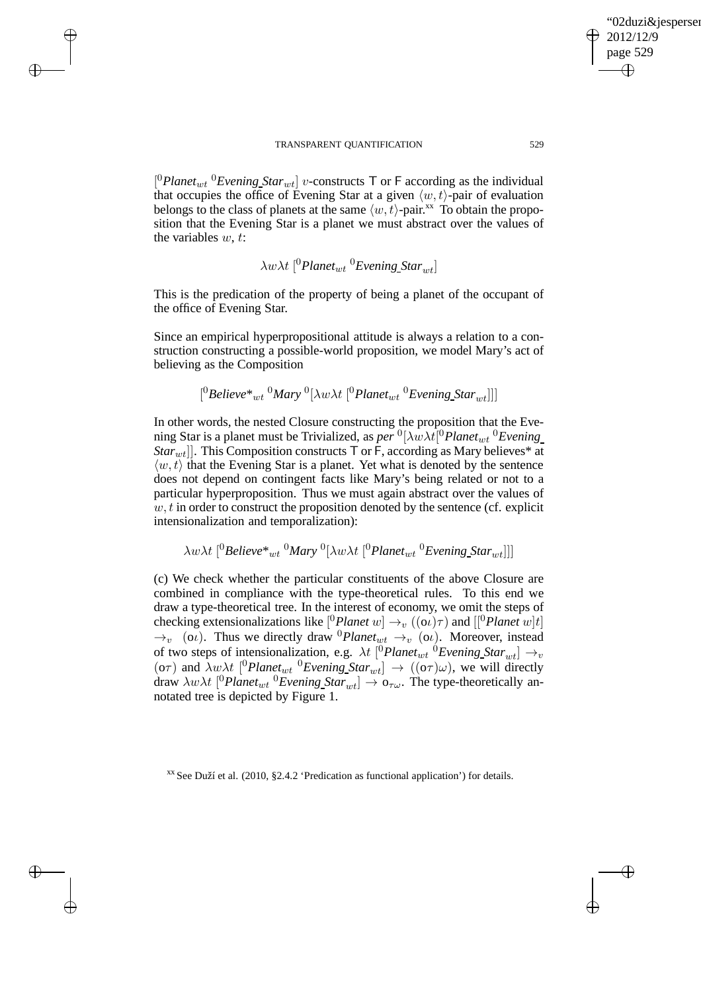$\rightarrow$ 

 $\rightarrow$ 

✐

✐

 $[{}^{0}$ *Planet<sub>wt</sub>*  ${}^{0}$ *Evening Star<sub>wt</sub>*] *v*-constructs T or F according as the individual that occupies the office of Evening Star at a given  $\langle w, t \rangle$ -pair of evaluation belongs to the class of planets at the same  $\langle w, t \rangle$ -pair.<sup>xx</sup> To obtain the proposition that the Evening Star is a planet we must abstract over the values of the variables  $w, t$ :

 $\lambda w \lambda t$ <sup>[0</sup>*Planet<sub>wt</sub>* <sup>0</sup>*Evening\_Star<sub>wt</sub>*]

This is the predication of the property of being a planet of the occupant of the office of Evening Star.

Since an empirical hyperpropositional attitude is always a relation to a construction constructing a possible-world proposition, we model Mary's act of believing as the Composition

$$
[^0Belive^*{}_{wt}~^0Mary~^0[\lambda w\lambda t~[^0Planet_{wt}~^0Evening\_Star_{wt}]]]
$$

In other words, the nested Closure constructing the proposition that the Evening Star is a planet must be Trivialized, as *per* <sup>0</sup>[λwλt<sup>[0</sup>Planet<sub>wt</sub> <sup>0</sup>Evening *Star<sub>wt</sub>*]]. This Composition constructs  $\top$  or  $\vdash$ , according as Mary believes\* at  $\langle w, t \rangle$  that the Evening Star is a planet. Yet what is denoted by the sentence does not depend on contingent facts like Mary's being related or not to a particular hyperproposition. Thus we must again abstract over the values of  $w, t$  in order to construct the proposition denoted by the sentence (cf. explicit intensionalization and temporalization):

 $\lambda w \lambda t$ <sup>[0</sup>Believe\*<sub>wt</sub><sup>0</sup>Mary<sup>0</sup>[ $\lambda w \lambda t$ <sup>[0</sup>Planet<sub>wt</sub><sup>0</sup>Evening\_Star<sub>wt</sub>]]]

(c) We check whether the particular constituents of the above Closure are combined in compliance with the type-theoretical rules. To this end we draw a type-theoretical tree. In the interest of economy, we omit the steps of checking extensionalizations like  $[{}^{0}$ *Planet*  $w] \rightarrow_{v} ((\alpha)\tau)$  and  $[{}^{0}$ *Planet*  $w]$ *t*]  $\rightarrow_v$  (o*ι*). Thus we directly draw <sup>0</sup>*Planet<sub>wt</sub>*  $\rightarrow_v$  (o*ι*). Moreover, instead of two steps of intensionalization, e.g.  $\lambda t$  [<sup>0</sup>*Planet<sub>wt</sub>* <sup>0</sup>*Evening Star<sub>wt</sub>*]  $\rightarrow_v$ (o $\tau$ ) and  $\lambda w \lambda t$  <sup>[0</sup>*Planet<sub>wt</sub>* <sup>0</sup>*Evening\_Star<sub>wt</sub>]*  $\rightarrow$  ((o $\tau$ ) $\omega$ ), we will directly draw  $\lambda w \lambda t$  [<sup>0</sup> *Planet<sub>wt</sub>* <sup>0</sup> *Evening Star<sub>wt</sub>*]  $\rightarrow$  0<sub> $\tau \omega$ </sub>. The type-theoretically annotated tree is depicted by Figure 1.

xx See Duží et al. (2010, §2.4.2 'Predication as functional application') for details.

'02duzi&jespersen'

2012/12/9 page 529

✐

✐

✐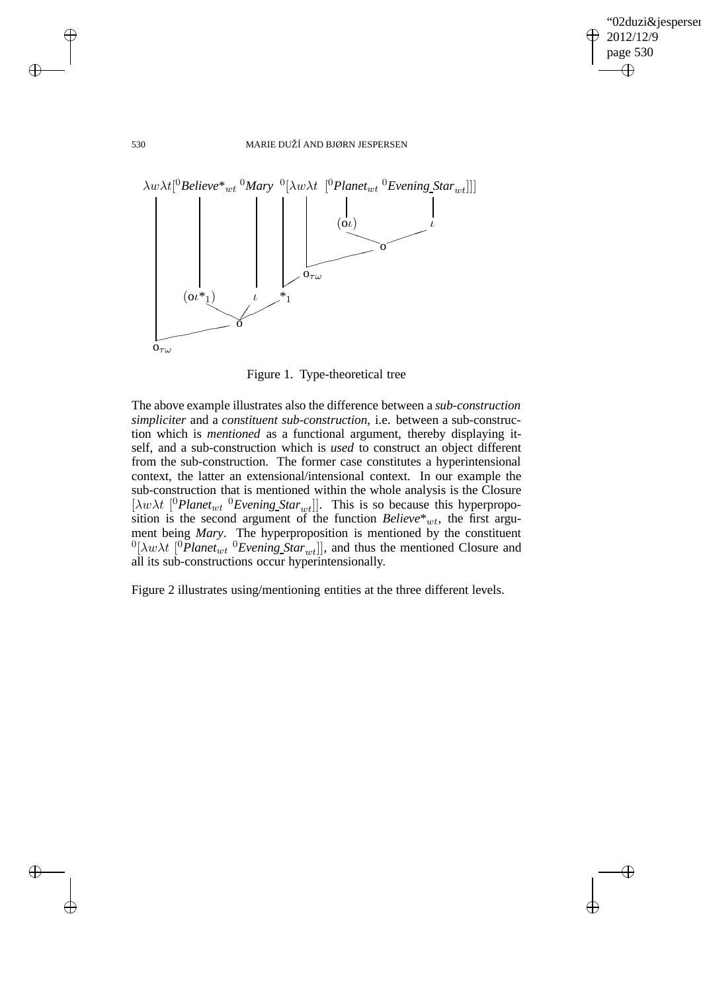✐

### 530 MARIE DUŽÍ AND BJØRN JESPERSEN



Figure 1. Type-theoretical tree

The above example illustrates also the difference between a *sub-construction simpliciter* and a *constituent sub-construction*, i.e. between a sub-construction which is *mentioned* as a functional argument, thereby displaying itself, and a sub-construction which is *used* to construct an object different from the sub-construction. The former case constitutes a hyperintensional context, the latter an extensional/intensional context. In our example the sub-construction that is mentioned within the whole analysis is the Closure  $[\lambda w \lambda t]$ <sup>0</sup>Planet<sub>wt</sub><sup>0</sup>Evening Star<sub>wt</sub>]]. This is so because this hyperproposition is the second argument of the function  $Believe^*_{wt}$ , the first argument being *Mary*. The hyperproposition is mentioned by the constituent  ${}^{0}[\lambda w \lambda t]$ <sup>0</sup>*Planet<sub>wt</sub>* <sup>0</sup>*Evening\_Star<sub>wt</sub>*]], and thus the mentioned Closure and all its sub-constructions occur hyperintensionally.

Figure 2 illustrates using/mentioning entities at the three different levels.

 $\rightarrow$ 

 $\rightarrow$ 

✐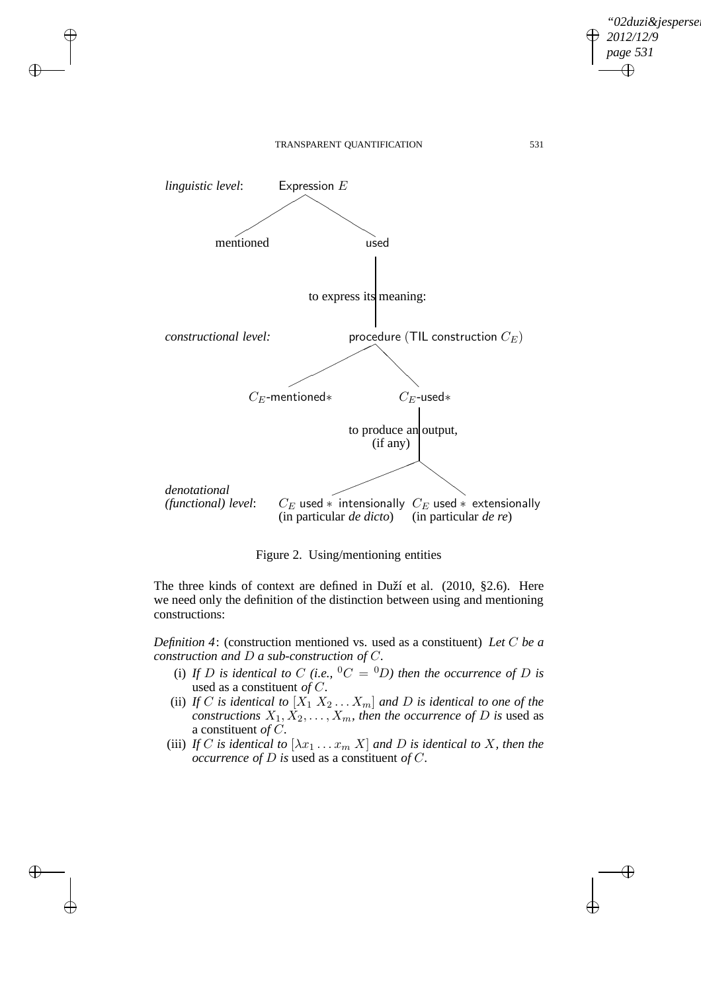

 $\rightarrow$ 

 $\rightarrow$ 

✐

✐

*"02duzi&jespersen"*

*2012/12/9 page 531*

✐

✐

✐

✐

Figure 2. Using/mentioning entities

The three kinds of context are defined in Duží et al. (2010, §2.6). Here we need only the definition of the distinction between using and mentioning constructions:

*Definition 4*: (construction mentioned vs. used as a constituent) *Let* C *be a construction and* D *a sub-construction of* C*.*

- (i) If D is identical to C (i.e.,  ${}^0C = {}^0D$ ) then the occurrence of D is used as a constituent *of* C*.*
- (ii) *If* C *is identical to*  $[X_1 \ X_2 \dots X_m]$  *and D is identical to one of the constructions*  $X_1, X_2, \ldots, X_m$ *, then the occurrence of* D *is* used as a constituent *of* C*.*
- (iii) *If* C is identical to  $[\lambda x_1 \ldots x_m]$  *X* and *D* is identical to *X*, then the *occurrence of* D *is* used as a constituent *of* C*.*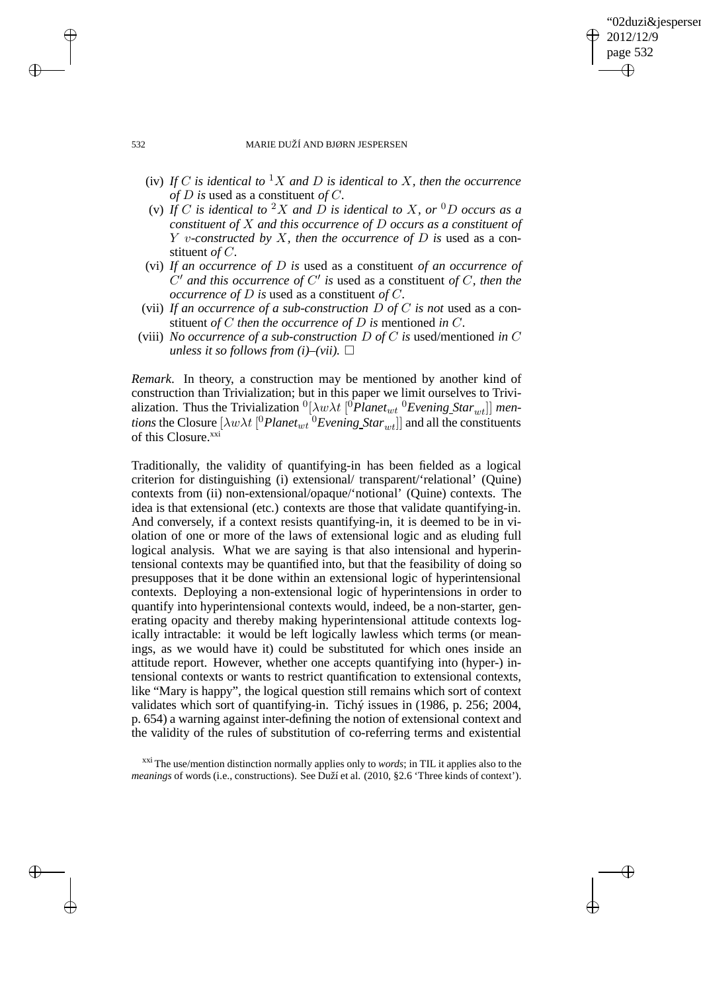### 02duzi&iespersen 2012/12/9 page 532 ✐ ✐

✐

✐

#### 532 MARIE DUŽÍ AND BJØRN JESPERSEN

- (iv) *If* C *is identical to*  ${}^1X$  *and D is identical to X, then the occurrence of* D *is* used as a constituent *of* C*.*
- (v) If C is identical to <sup>2</sup>X and D is identical to X, or <sup>0</sup>D occurs as a *constituent of* X *and this occurrence of* D *occurs as a constituent of* Y v*-constructed by* X*, then the occurrence of* D *is* used as a constituent *of* C*.*
- (vi) *If an occurrence of* D *is* used as a constituent *of an occurrence of* C ′ *and this occurrence of* C ′ *is* used as a constituent *of* C*, then the occurrence of* D *is* used as a constituent *of* C*.*
- (vii) *If an occurrence of a sub-construction* D *of* C *is not* used as a constituent *of* C *then the occurrence of* D *is* mentioned *in* C*.*
- (viii) *No occurrence of a sub-construction* D *of* C *is* used/mentioned *in* C *unless it so follows from (i)–(vii).*  $\square$

*Remark*. In theory, a construction may be mentioned by another kind of construction than Trivialization; but in this paper we limit ourselves to Trivialization. Thus the Trivialization  ${}^0[\lambda w \lambda t \, [{}^0$ Planet<sub>wt</sub>  ${}^0$ Evening Star<sub>wt</sub>]] men*tions* the Closure  $[\lambda w \lambda t \int^0$  *Planet<sub>wt</sub>*  $^0$  *Evening*  $Star_{wt}$ ] and all the constituents of this Closure.<sup>xxi</sup>

Traditionally, the validity of quantifying-in has been fielded as a logical criterion for distinguishing (i) extensional/ transparent/'relational' (Quine) contexts from (ii) non-extensional/opaque/'notional' (Quine) contexts. The idea is that extensional (etc.) contexts are those that validate quantifying-in. And conversely, if a context resists quantifying-in, it is deemed to be in violation of one or more of the laws of extensional logic and as eluding full logical analysis. What we are saying is that also intensional and hyperintensional contexts may be quantified into, but that the feasibility of doing so presupposes that it be done within an extensional logic of hyperintensional contexts. Deploying a non-extensional logic of hyperintensions in order to quantify into hyperintensional contexts would, indeed, be a non-starter, generating opacity and thereby making hyperintensional attitude contexts logically intractable: it would be left logically lawless which terms (or meanings, as we would have it) could be substituted for which ones inside an attitude report. However, whether one accepts quantifying into (hyper-) intensional contexts or wants to restrict quantification to extensional contexts, like "Mary is happy", the logical question still remains which sort of context validates which sort of quantifying-in. Tichý issues in (1986, p. 256; 2004, p. 654) a warning against inter-defining the notion of extensional context and the validity of the rules of substitution of co-referring terms and existential

 $\rightarrow$ 

 $\rightarrow$ 

✐

xxi The use/mention distinction normally applies only to *words*; in TIL it applies also to the *meanings* of words (i.e., constructions). See Duží et al. (2010, §2.6 'Three kinds of context').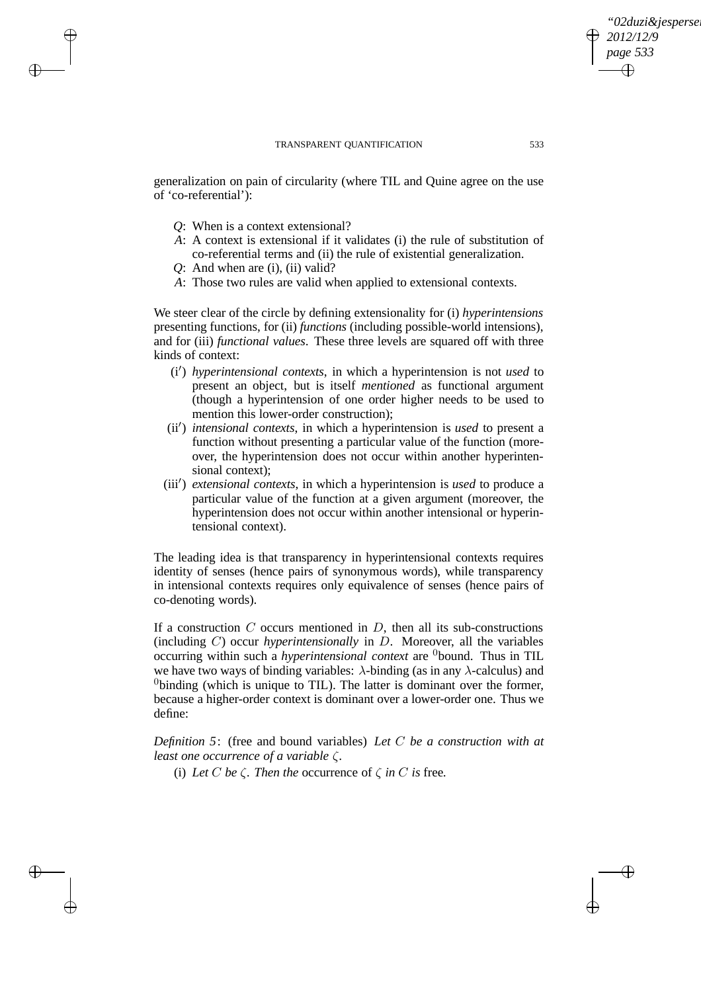generalization on pain of circularity (where TIL and Quine agree on the use of 'co-referential'):

- *Q*: When is a context extensional?
- *A*: A context is extensional if it validates (i) the rule of substitution of co-referential terms and (ii) the rule of existential generalization.
- *Q*: And when are (i), (ii) valid?

 $\rightarrow$ 

 $\rightarrow$ 

✐

✐

*A*: Those two rules are valid when applied to extensional contexts.

We steer clear of the circle by defining extensionality for (i) *hyperintensions* presenting functions, for (ii) *functions* (including possible-world intensions), and for (iii) *functional values*. These three levels are squared off with three kinds of context:

- (i′ ) *hyperintensional contexts*, in which a hyperintension is not *used* to present an object, but is itself *mentioned* as functional argument (though a hyperintension of one order higher needs to be used to mention this lower-order construction);
- (ii′ ) *intensional contexts*, in which a hyperintension is *used* to present a function without presenting a particular value of the function (moreover, the hyperintension does not occur within another hyperintensional context):
- (iii′ ) *extensional contexts*, in which a hyperintension is *used* to produce a particular value of the function at a given argument (moreover, the hyperintension does not occur within another intensional or hyperintensional context).

The leading idea is that transparency in hyperintensional contexts requires identity of senses (hence pairs of synonymous words), while transparency in intensional contexts requires only equivalence of senses (hence pairs of co-denoting words).

If a construction  $C$  occurs mentioned in  $D$ , then all its sub-constructions (including C) occur *hyperintensionally* in D. Moreover, all the variables occurring within such a *hyperintensional context* are <sup>0</sup>bound. Thus in TIL we have two ways of binding variables:  $\lambda$ -binding (as in any  $\lambda$ -calculus) and  $<sup>0</sup>$ binding (which is unique to TIL). The latter is dominant over the former,</sup> because a higher-order context is dominant over a lower-order one. Thus we define:

*Definition 5*: (free and bound variables) *Let* C *be a construction with at least one occurrence of a variable* ζ*.*

(i) *Let*  $C$  *be*  $\zeta$ *. Then the* occurrence of  $\zeta$  *in*  $C$  *is* free.

*"02duzi&jespersen"*

*2012/12/9 page 533*

✐

✐

✐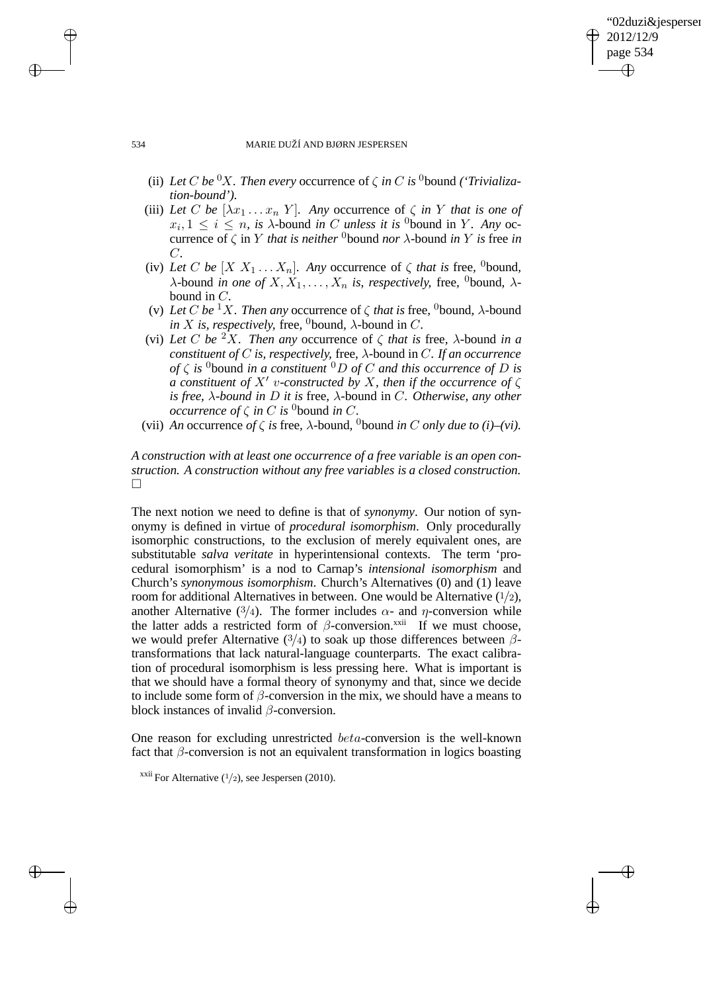### '02duzi&iespersen 2012/12/9 page 534 ✐ ✐

✐

✐

#### 534 MARIE DUŽÍ AND BJØRN JESPERSEN

- (ii) *Let* C *be* <sup>0</sup>X. Then every occurrence of  $\zeta$  *in* C *is* <sup>0</sup>bound *('Trivialization-bound').*
- (iii) Let C be  $[\lambda x_1 \ldots x_n Y]$ . Any occurrence of  $\zeta$  *in* Y *that is one of*  $x_i, 1 \leq i \leq n$ , is  $\lambda$ -bound *in* C *unless it is* <sup>0</sup>bound in Y. Any occurrence of  $\zeta$  in Y *that is neither* <sup>0</sup>bound *nor*  $\lambda$ -bound *in* Y *is* free *in* C*.*
- (iv) Let C be  $[X \ X_1 \dots X_n]$ . Any occurrence of  $\zeta$  that is free, <sup>0</sup>bound,  $\lambda$ -bound *in one of*  $X, X_1, \ldots, X_n$  *is, respectively, free, <sup>0</sup>bound,*  $\lambda$ bound in C*.*
- (v) *Let* C *be* <sup>1</sup>X. Then any occurrence of  $\zeta$  *that is* free, <sup>0</sup>bound,  $\lambda$ -bound *in X is, respectively,* free, <sup>0</sup>bound,  $\lambda$ -bound in *C*.
- (vi) Let C be <sup>2</sup>X. Then any occurrence of  $\zeta$  *that is* free,  $\lambda$ -bound *in a constituent of* C *is, respectively,* free*,* λ*-*bound in C*. If an occurrence of*  $\zeta$  *is* <sup>0</sup>bound *in a constituent* <sup>0</sup>*D of C and this occurrence of D is a constituent of* X′ v*-constructed by* X*, then if the occurrence of* ζ *is free,* λ*-bound in* D *it is* free*,* λ*-*bound in C*. Otherwise, any other occurrence of*  $\zeta$  *in*  $C$  *is* <sup>0</sup> bound *in*  $C$ *.*
- (vii) *An* occurrence *of*  $\zeta$  *is* free,  $\lambda$ -bound, <sup>0</sup>bound *in C only due to* (*i*)–(*vi*).

*A construction with at least one occurrence of a free variable is an open construction. A construction without any free variables is a closed construction.*  $\Box$ 

The next notion we need to define is that of *synonymy*. Our notion of synonymy is defined in virtue of *procedural isomorphism*. Only procedurally isomorphic constructions, to the exclusion of merely equivalent ones, are substitutable *salva veritate* in hyperintensional contexts. The term 'procedural isomorphism' is a nod to Carnap's *intensional isomorphism* and Church's *synonymous isomorphism*. Church's Alternatives (0) and (1) leave room for additional Alternatives in between. One would be Alternative  $(1/2)$ , another Alternative (3/4). The former includes  $\alpha$ - and  $\eta$ -conversion while the latter adds a restricted form of  $\beta$ -conversion.<sup>xxii</sup> If we must choose, we would prefer Alternative (3/4) to soak up those differences between  $\beta$ transformations that lack natural-language counterparts. The exact calibration of procedural isomorphism is less pressing here. What is important is that we should have a formal theory of synonymy and that, since we decide to include some form of  $\beta$ -conversion in the mix, we should have a means to block instances of invalid  $\beta$ -conversion.

One reason for excluding unrestricted beta-conversion is the well-known fact that  $\beta$ -conversion is not an equivalent transformation in logics boasting

 $\rightarrow$ 

 $\rightarrow$ 

✐

<sup>&</sup>lt;sup>xxii</sup> For Alternative  $(1/2)$ , see Jespersen (2010).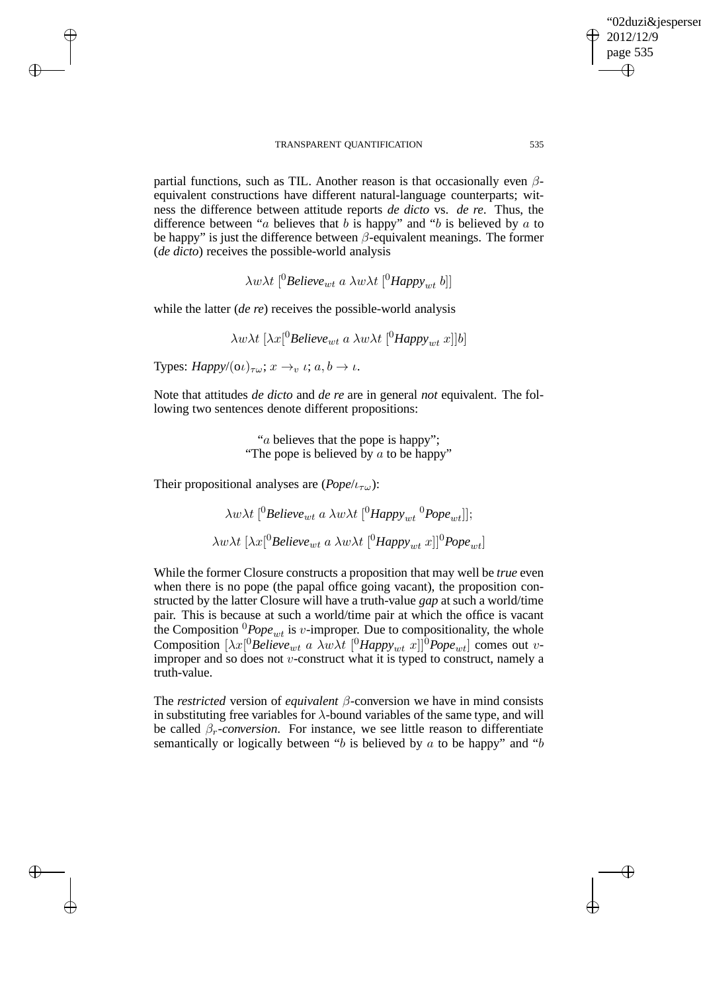partial functions, such as TIL. Another reason is that occasionally even  $\beta$ equivalent constructions have different natural-language counterparts; witness the difference between attitude reports *de dicto* vs. *de re*. Thus, the difference between "a believes that  $b$  is happy" and " $b$  is believed by  $a$  to be happy" is just the difference between  $\beta$ -equivalent meanings. The former (*de dicto*) receives the possible-world analysis

 $\lambda w \lambda t$ <sup>[0</sup>*Believe<sub>wt</sub> a*  $\lambda w \lambda t$ <sup>[0</sup>*Happy<sub>wt</sub> b*]]

while the latter (*de re*) receives the possible-world analysis

 $\lambda w \lambda t \, [\lambda x[^0]$ Believe<sub>wt</sub> a  $\lambda w \lambda t \, [^0$ Happy<sub>wt</sub> x]]b]

Types:  $Happy/(\omega)_{\tau\omega}$ ;  $x \to_v \iota$ ;  $a, b \to \iota$ .

 $\rightarrow$ 

 $\rightarrow$ 

✐

✐

Note that attitudes *de dicto* and *de re* are in general *not* equivalent. The following two sentences denote different propositions:

> "a believes that the pope is happy"; "The pope is believed by  $\alpha$  to be happy"

Their propositional analyses are  $(Pope/t_{\tau\omega})$ :

 $\lambda w \lambda t$ <sup>[0</sup>Believe<sub>wt</sub> a  $\lambda w \lambda t$ <sup>[0</sup>Happy<sub>wt</sub><sup>0</sup>Pope<sub>wt</sub>]];  $\lambda w \lambda t$  [ $\lambda x$ [<sup>0</sup>*Believe<sub>wt</sub> a*  $\lambda w \lambda t$  [<sup>0</sup>*Happy<sub>wt</sub> x*]]<sup>0</sup>*Pope<sub>wt</sub>*]

While the former Closure constructs a proposition that may well be *true* even when there is no pope (the papal office going vacant), the proposition constructed by the latter Closure will have a truth-value *gap* at such a world/time pair. This is because at such a world/time pair at which the office is vacant the Composition  ${}^{0}Pope_{wt}$  is v-improper. Due to compositionality, the whole Composition  $[\lambda x]^0$ *Believe<sub>wt</sub>* a  $\lambda w \lambda t$   $[{}^0$ *Happy<sub>wt</sub>*  $x]$  ${}^0$ *Pope<sub>wt</sub>*] comes out *v*improper and so does not  $v$ -construct what it is typed to construct, namely a truth-value.

The *restricted* version of *equivalent* β-conversion we have in mind consists in substituting free variables for  $\lambda$ -bound variables of the same type, and will be called  $\beta_r$ -*conversion*. For instance, we see little reason to differentiate semantically or logically between "b is believed by a to be happy" and "b

'02duzi&iespersen

2012/12/9 page 535

✐

✐

✐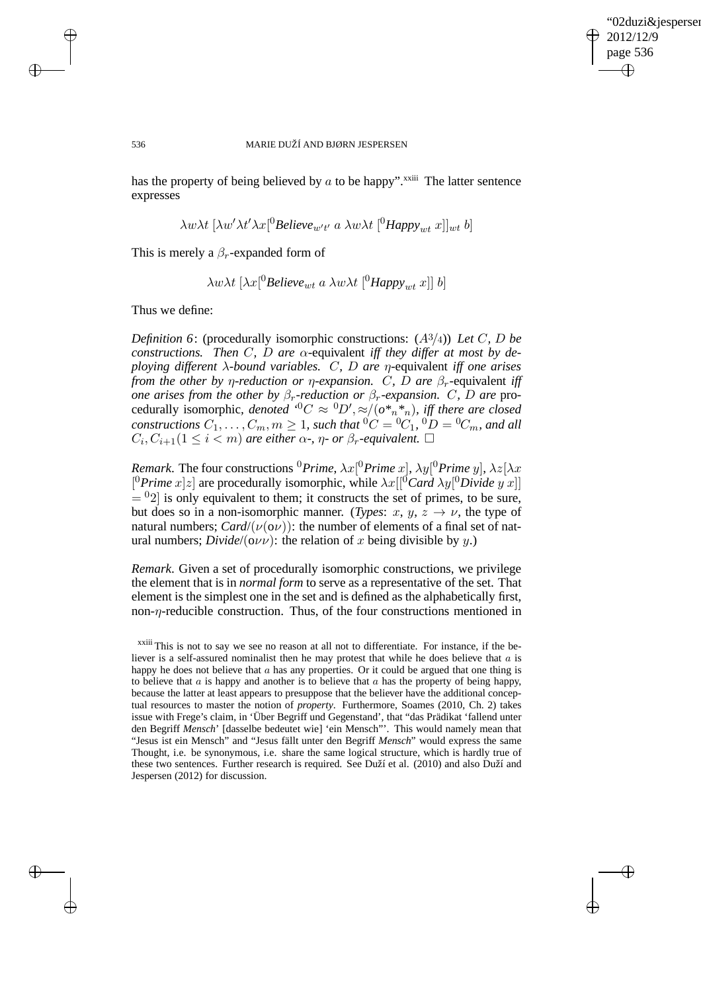✐

#### 536 MARIE DUŽÍ AND BJØRN JESPERSEN

has the property of being believed by  $\alpha$  to be happy".<sup>xxiii</sup> The latter sentence expresses

$$
\lambda w \lambda t \, [\lambda w' \lambda t' \lambda x]^0 \text{Believe}_{w't'} \, a \, \lambda w \lambda t \, [^0 \text{Happ} \text{y}_{wt} \, x]]_{wt} \, b]
$$

This is merely a  $\beta_r$ -expanded form of

$$
\lambda w \lambda t
$$
 [ $\lambda x$ [<sup>0</sup>*Believe<sub>wt</sub>* a  $\lambda w \lambda t$  [<sup>0</sup>*Happy<sub>wt</sub>* x]] b]

Thus we define:

*Definition 6*: (procedurally isomorphic constructions: (A3/4)) *Let* C*,* D *be constructions.* Then C, D are  $\alpha$ -equivalent *iff they differ at most by deploying different* λ*-bound variables.* C*,* D *are* η*-*equivalent *iff one arises from the other by η-reduction or η-expansion. C, D are*  $\beta_r$ *-equivalent iff one arises from the other by*  $\beta_r$ -reduction or  $\beta_r$ -expansion. C, D are procedurally isomorphic, denoted <sup>0</sup>C  $\approx$  <sup>0</sup>D',  $\approx/(o*,*,*)$ , iff there are closed  $\textit{constraints}~C_1,\ldots,C_m,m\geq 1\textit{, such that } {}^0C = {}^0C_1, {}^0D = {}^0C_m,$  and all  $C_i, C_{i+1}$ ( $1 \leq i < m$ ) are either  $\alpha$ -,  $\eta$ - or  $\beta_r$ -equivalent.  $\Box$ 

*Remark*. The four constructions <sup>0</sup>Prime,  $\lambda x$ <sup>[0</sup>Prime x],  $\lambda y$ <sup>[0</sup>Prime y],  $\lambda z$ [ $\lambda x$  $[{}^{0}P$ *rime*  $x[z]$  are procedurally isomorphic, while  $\lambda x[[{}^{0}Card \lambda y[{}^{0}Divide y x]]$  $=$   $^{0}$ 2] is only equivalent to them; it constructs the set of primes, to be sure, but does so in a non-isomorphic manner. (*Types*:  $x, y, z \rightarrow \nu$ , the type of natural numbers; *Card*/( $\nu$ ( $\sigma$  $\nu$ )): the number of elements of a final set of natural numbers; *Divide*/( $\sigma \nu \nu$ ): the relation of x being divisible by y.)

*Remark*. Given a set of procedurally isomorphic constructions, we privilege the element that is in *normal form* to serve as a representative of the set. That element is the simplest one in the set and is defined as the alphabetically first, non-η-reducible construction. Thus, of the four constructions mentioned in

 $\rightarrow$ 

 $\rightarrow$ 

✐

xxiii This is not to say we see no reason at all not to differentiate. For instance, if the believer is a self-assured nominalist then he may protest that while he does believe that  $a$  is happy he does not believe that  $a$  has any properties. Or it could be argued that one thing is to believe that  $\alpha$  is happy and another is to believe that  $\alpha$  has the property of being happy, because the latter at least appears to presuppose that the believer have the additional conceptual resources to master the notion of *property*. Furthermore, Soames (2010, Ch. 2) takes issue with Frege's claim, in 'Über Begriff und Gegenstand', that "das Prädikat 'fallend unter den Begriff *Mensch*' [dasselbe bedeutet wie] 'ein Mensch"'. This would namely mean that "Jesus ist ein Mensch" and "Jesus fällt unter den Begriff *Mensch*" would express the same Thought, i.e. be synonymous, i.e. share the same logical structure, which is hardly true of these two sentences. Further research is required. See Duží et al. (2010) and also Duží and Jespersen (2012) for discussion.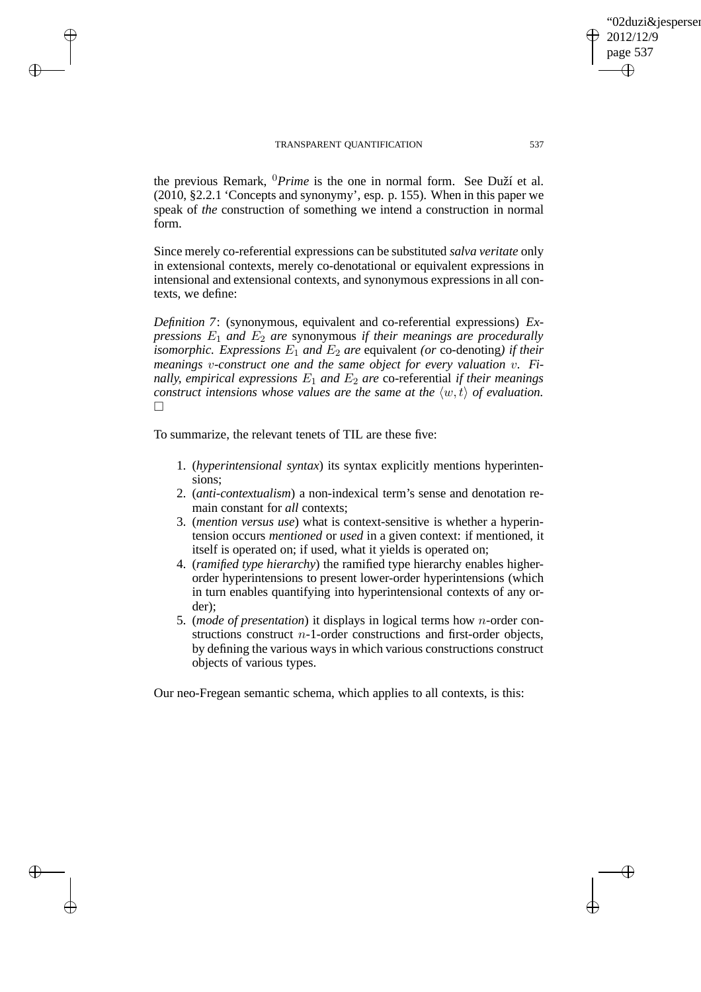$\rightarrow$ 

 $\rightarrow$ 

✐

✐

the previous Remark, <sup>0</sup>*Prime* is the one in normal form. See Duží et al. (2010, §2.2.1 'Concepts and synonymy', esp. p. 155). When in this paper we speak of *the* construction of something we intend a construction in normal form.

Since merely co-referential expressions can be substituted *salva veritate* only in extensional contexts, merely co-denotational or equivalent expressions in intensional and extensional contexts, and synonymous expressions in all contexts, we define:

*Definition 7*: (synonymous, equivalent and co-referential expressions) *Expressions*  $E_1$  *and*  $E_2$  *are* synonymous *if their meanings are procedurally isomorphic. Expressions*  $E_1$  *and*  $E_2$  *are* equivalent *(or* co-denoting*) if their meanings* v*-construct one and the same object for every valuation* v*. Finally, empirical expressions*  $E_1$  *and*  $E_2$  *are* co-referential *if their meanings construct intensions whose values are the same at the*  $\langle w, t \rangle$  *of evaluation.*  $\Box$ 

To summarize, the relevant tenets of TIL are these five:

- 1. (*hyperintensional syntax*) its syntax explicitly mentions hyperintensions;
- 2. (*anti-contextualism*) a non-indexical term's sense and denotation remain constant for *all* contexts;
- 3. (*mention versus use*) what is context-sensitive is whether a hyperintension occurs *mentioned* or *used* in a given context: if mentioned, it itself is operated on; if used, what it yields is operated on;
- 4. (*ramified type hierarchy*) the ramified type hierarchy enables higherorder hyperintensions to present lower-order hyperintensions (which in turn enables quantifying into hyperintensional contexts of any order);
- 5. (*mode of presentation*) it displays in logical terms how n-order constructions construct  $n-1$ -order constructions and first-order objects, by defining the various ways in which various constructions construct objects of various types.

Our neo-Fregean semantic schema, which applies to all contexts, is this:

02duzi&iespersen

2012/12/9 page 537

✐

✐

✐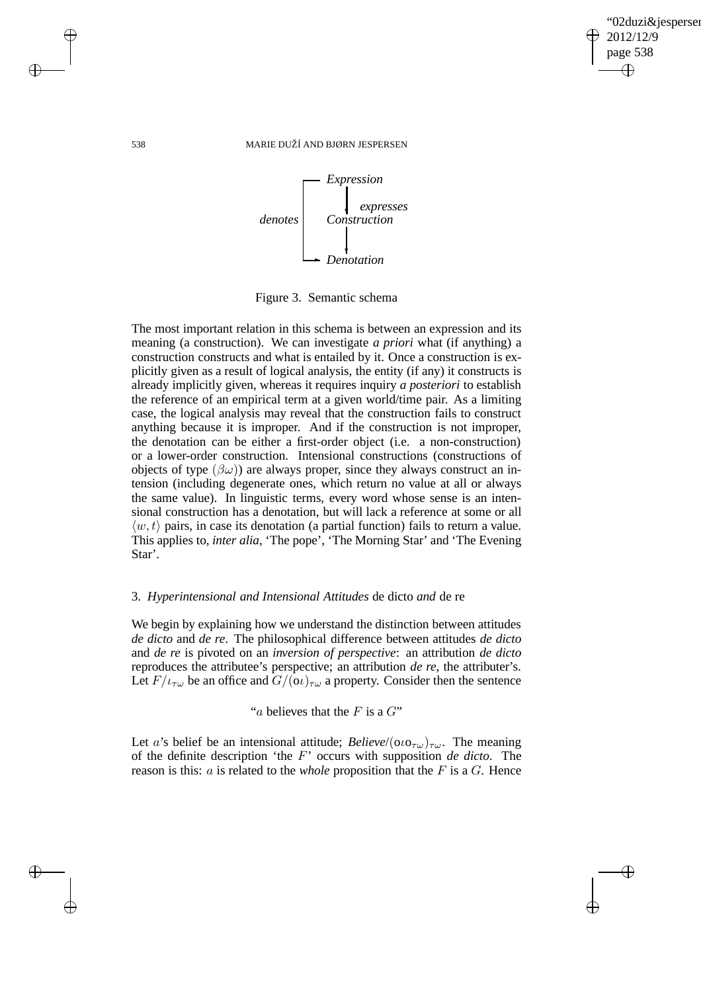✐

#### 538 MARIE DUŽÍ AND BJØRN JESPERSEN



Figure 3. Semantic schema

The most important relation in this schema is between an expression and its meaning (a construction). We can investigate *a priori* what (if anything) a construction constructs and what is entailed by it. Once a construction is explicitly given as a result of logical analysis, the entity (if any) it constructs is already implicitly given, whereas it requires inquiry *a posteriori* to establish the reference of an empirical term at a given world/time pair. As a limiting case, the logical analysis may reveal that the construction fails to construct anything because it is improper. And if the construction is not improper, the denotation can be either a first-order object (i.e. a non-construction) or a lower-order construction. Intensional constructions (constructions of objects of type  $(\beta \omega)$  are always proper, since they always construct an intension (including degenerate ones, which return no value at all or always the same value). In linguistic terms, every word whose sense is an intensional construction has a denotation, but will lack a reference at some or all  $\langle w, t \rangle$  pairs, in case its denotation (a partial function) fails to return a value. This applies to, *inter alia*, 'The pope', 'The Morning Star' and 'The Evening Star'.

### 3. *Hyperintensional and Intensional Attitudes* de dicto *and* de re

We begin by explaining how we understand the distinction between attitudes *de dicto* and *de re*. The philosophical difference between attitudes *de dicto* and *de re* is pivoted on an *inversion of perspective*: an attribution *de dicto* reproduces the attributee's perspective; an attribution *de re*, the attributer's. Let  $F/\iota_{\tau\omega}$  be an office and  $G/(\omega)_{\tau\omega}$  a property. Consider then the sentence

"a believes that the F is a  $G$ "

Let a's belief be an intensional attitude; *Believe*/( $\omega_0$ <sub>*τω*</sub>)<sub>*τω*</sub>. The meaning of the definite description 'the F' occurs with supposition *de dicto*. The reason is this: a is related to the *whole* proposition that the F is a G. Hence

 $\rightarrow$ 

 $\rightarrow$ 

✐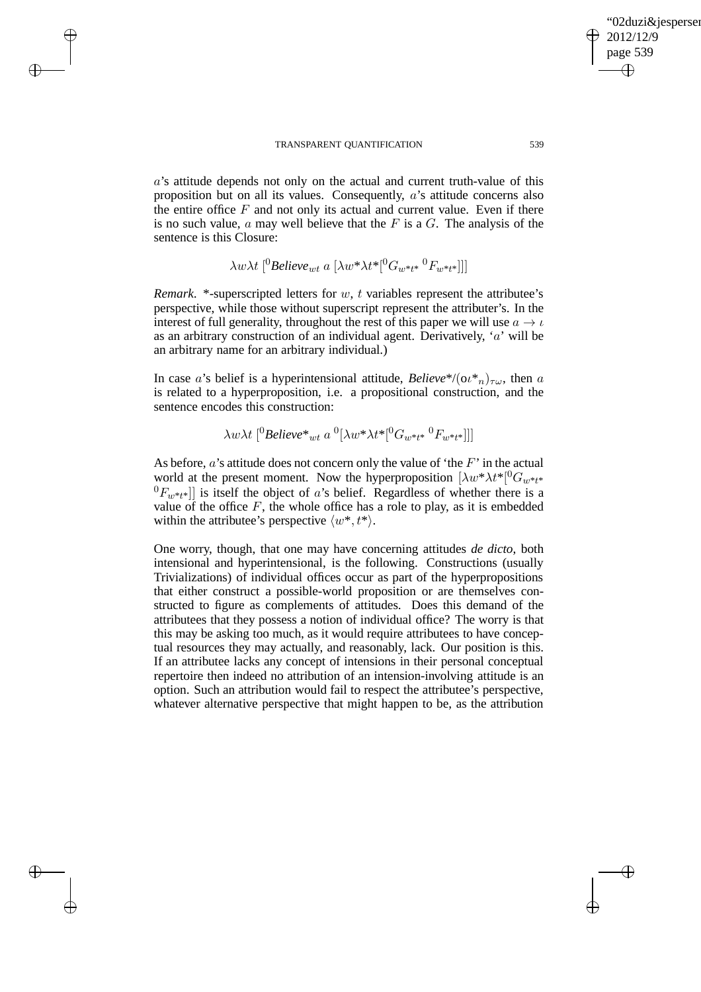$\rightarrow$ 

 $\rightarrow$ 

✐

✐

a's attitude depends not only on the actual and current truth-value of this proposition but on all its values. Consequently, a's attitude concerns also the entire office  $F$  and not only its actual and current value. Even if there is no such value,  $a$  may well believe that the  $F$  is a  $G$ . The analysis of the sentence is this Closure:

$$
\lambda w \lambda t \, [{}^0\text{Believe}_{wt} \, a \, [\lambda w^* \lambda t^* [{}^0\text{G}_{w^*t^*} \, {}^0\text{F}_{w^*t^*}]]]
$$

*Remark*. \*-superscripted letters for w, t variables represent the attributee's perspective, while those without superscript represent the attributer's. In the interest of full generality, throughout the rest of this paper we will use  $a \rightarrow \iota$ as an arbitrary construction of an individual agent. Derivatively,  $a'$  will be an arbitrary name for an arbitrary individual.)

In case a's belief is a hyperintensional attitude, *Believe*\*/ $(\omega^*)_{\tau\omega}$ , then a is related to a hyperproposition, i.e. a propositional construction, and the sentence encodes this construction:

$$
\lambda w \lambda t \, [{}^0\text{Believe}^*{}_{wt} \, a \, {}^0[\lambda w^* \lambda t^* [{}^0\text{G}_{w^*t^*} \, {}^0\text{F}_{w^*t^*}]]]
$$

As before,  $a$ 's attitude does not concern only the value of 'the  $F$ ' in the actual world at the present moment. Now the hyperproposition  $[\lambda w^* \lambda t^*]^{0} G_{w^*t^*}$  ${}^{0}F_{w^{*}t^{*}}$ ] is itself the object of a's belief. Regardless of whether there is a value of the office  $F$ , the whole office has a role to play, as it is embedded within the attributee's perspective  $\langle w^*, t^* \rangle$ .

One worry, though, that one may have concerning attitudes *de dicto*, both intensional and hyperintensional, is the following. Constructions (usually Trivializations) of individual offices occur as part of the hyperpropositions that either construct a possible-world proposition or are themselves constructed to figure as complements of attitudes. Does this demand of the attributees that they possess a notion of individual office? The worry is that this may be asking too much, as it would require attributees to have conceptual resources they may actually, and reasonably, lack. Our position is this. If an attributee lacks any concept of intensions in their personal conceptual repertoire then indeed no attribution of an intension-involving attitude is an option. Such an attribution would fail to respect the attributee's perspective, whatever alternative perspective that might happen to be, as the attribution "02duzi&jespersen"

2012/12/9 page 539

✐

✐

✐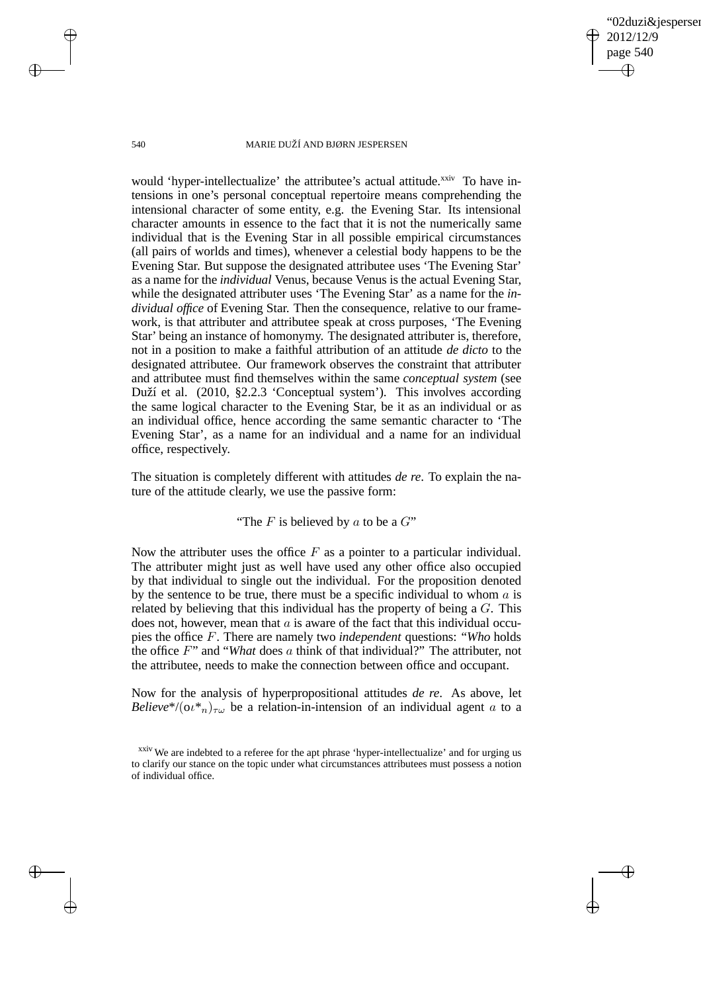✐

#### 540 MARIE DUŽÍ AND BJØRN JESPERSEN

would 'hyper-intellectualize' the attributee's actual attitude.<sup>xxiv</sup> To have intensions in one's personal conceptual repertoire means comprehending the intensional character of some entity, e.g. the Evening Star. Its intensional character amounts in essence to the fact that it is not the numerically same individual that is the Evening Star in all possible empirical circumstances (all pairs of worlds and times), whenever a celestial body happens to be the Evening Star. But suppose the designated attributee uses 'The Evening Star' as a name for the *individual* Venus, because Venus is the actual Evening Star, while the designated attributer uses 'The Evening Star' as a name for the *individual office* of Evening Star. Then the consequence, relative to our framework, is that attributer and attributee speak at cross purposes, 'The Evening Star' being an instance of homonymy. The designated attributer is, therefore, not in a position to make a faithful attribution of an attitude *de dicto* to the designated attributee. Our framework observes the constraint that attributer and attributee must find themselves within the same *conceptual system* (see Duží et al. (2010, §2.2.3 'Conceptual system'). This involves according the same logical character to the Evening Star, be it as an individual or as an individual office, hence according the same semantic character to 'The Evening Star', as a name for an individual and a name for an individual office, respectively.

The situation is completely different with attitudes *de re*. To explain the nature of the attitude clearly, we use the passive form:

### "The  $F$  is believed by  $a$  to be a  $G$ "

Now the attributer uses the office  $F$  as a pointer to a particular individual. The attributer might just as well have used any other office also occupied by that individual to single out the individual. For the proposition denoted by the sentence to be true, there must be a specific individual to whom  $a$  is related by believing that this individual has the property of being a  $G$ . This does not, however, mean that  $a$  is aware of the fact that this individual occupies the office F. There are namely two *independent* questions: "*Who* holds the office F" and "*What* does a think of that individual?" The attributer, not the attributee, needs to make the connection between office and occupant.

Now for the analysis of hyperpropositional attitudes *de re*. As above, let *Believe*\*/ $(\omega^*)_{\tau\omega}$  be a relation-in-intension of an individual agent a to a

 $\rightarrow$ 

 $\rightarrow$ 

✐

xxiv We are indebted to a referee for the apt phrase 'hyper-intellectualize' and for urging us to clarify our stance on the topic under what circumstances attributees must possess a notion of individual office.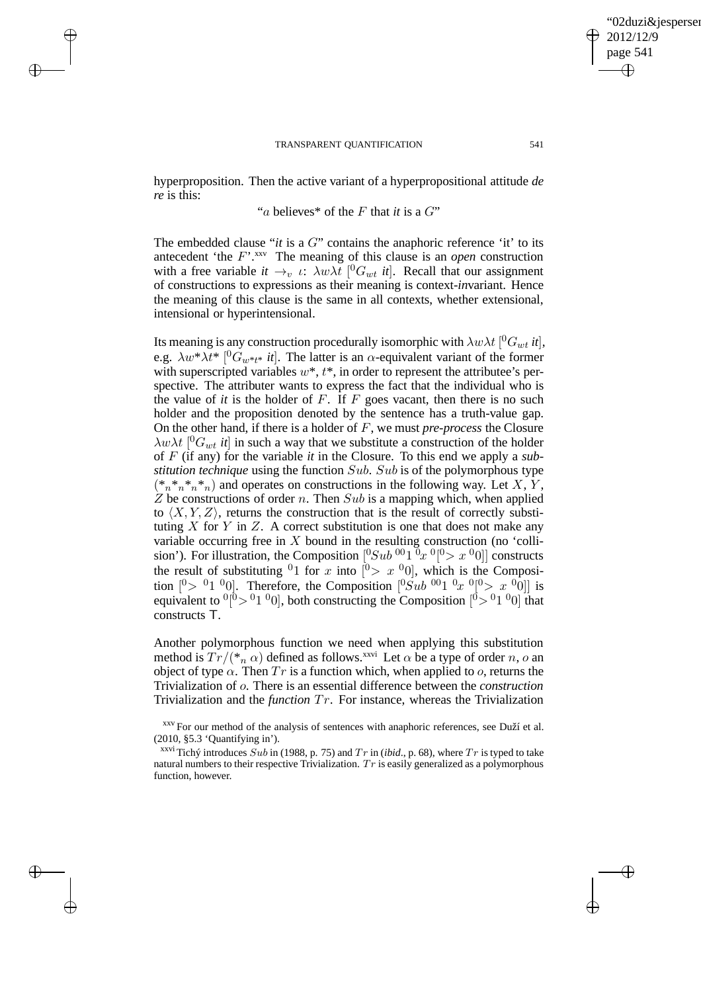$\rightarrow$ 

 $\rightarrow$ 

✐

✐

hyperproposition. Then the active variant of a hyperpropositional attitude *de re* is this:

# "a believes\* of the F that *it* is a G"

The embedded clause "*it* is a  $G$ " contains the anaphoric reference 'it' to its antecedent 'the  $F'$ <sup>xxv</sup>. The meaning of this clause is an *open* construction with a free variable  $it \rightarrow_v \iota$ :  $\lambda w \lambda t$  [<sup>0</sup> $G_{wt}$  *it*]. Recall that our assignment of constructions to expressions as their meaning is context-*in*variant. Hence the meaning of this clause is the same in all contexts, whether extensional, intensional or hyperintensional.

Its meaning is any construction procedurally isomorphic with  $\lambda w \lambda t$  [ ${}^{0}G_{wt}$  *it*], e.g.  $\lambda w^* \lambda t^*$  [<sup>0</sup> $G_{w^*t^*}$  *it*]. The latter is an  $\alpha$ -equivalent variant of the former with superscripted variables  $w^*, t^*$ , in order to represent the attributee's perspective. The attributer wants to express the fact that the individual who is the value of *it* is the holder of  $F$ . If  $F$  goes vacant, then there is no such holder and the proposition denoted by the sentence has a truth-value gap. On the other hand, if there is a holder of F, we must *pre-process* the Closure  $\lambda w \lambda t$  [<sup>0</sup> $G_{wt}$  *it*] in such a way that we substitute a construction of the holder of F (if any) for the variable *it* in the Closure. To this end we apply a *substitution technique* using the function Sub. Sub is of the polymorphous type  $(*n^*n^*n^*n)$  and operates on constructions in the following way. Let  $X, Y$ , Z be constructions of order n. Then  $Sub$  is a mapping which, when applied to  $\langle X, Y, Z \rangle$ , returns the construction that is the result of correctly substituting  $X$  for  $Y$  in  $Z$ . A correct substitution is one that does not make any variable occurring free in  $X$  bound in the resulting construction (no 'collision'). For illustration, the Composition  $[{}^0Sub \; {}^{00}1 \; {}^0x \; {}^0[{}^0z \; x \; {}^00]$  constructs the result of substituting <sup>0</sup>1 for x into  $[0 > x 0]$ , which is the Composition  $[0 > 01 \ 0]$ . Therefore, the Composition  $[0 S u b \ 001 \ 0 x \ 0[0 > x \ 00]]$  is equivalent to  $\binom{0}{0}$  or  $\binom{0}{0}$ , both constructing the Composition  $\binom{0}{0}$  or  $\binom{0}{0}$  that constructs T.

Another polymorphous function we need when applying this substitution method is  $Tr/(*_n \alpha)$  defined as follows.<sup>xxvi</sup> Let  $\alpha$  be a type of order n, o an object of type  $\alpha$ . Then  $Tr$  is a function which, when applied to  $o$ , returns the Trivialization of o. There is an essential difference between the *construction* Trivialization and the *function* Tr. For instance, whereas the Trivialization

<sup>xxvi</sup> Tichý introduces Sub in (1988, p. 75) and T r in (*ibid.*, p. 68), where T r is typed to take natural numbers to their respective Trivialization.  $Tr$  is easily generalized as a polymorphous function, however.

02duzi&iespersen

2012/12/9 page 541

✐

✐

✐

xxv For our method of the analysis of sentences with anaphoric references, see Duží et al. (2010, §5.3 'Quantifying in').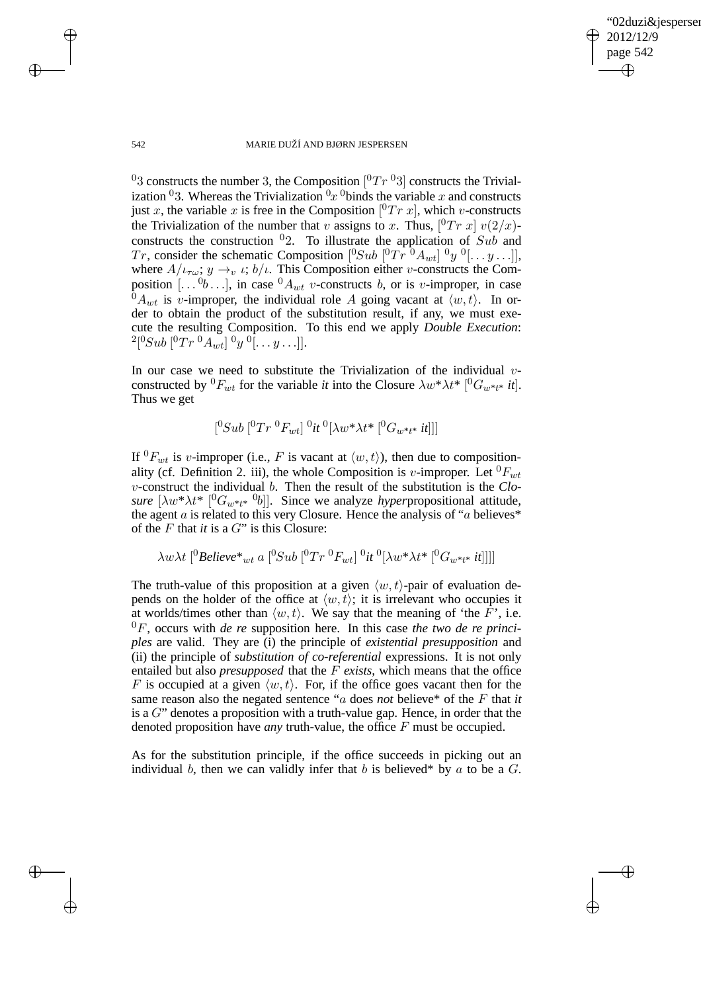✐

#### 542 MARIE DUŽÍ AND BJØRN JESPERSEN

<sup>0</sup>3 constructs the number 3, the Composition  $[{}^{0}Tr {}^{0}3]$  constructs the Trivialization <sup>0</sup>3. Whereas the Trivialization  $0x$  <sup>0</sup>binds the variable x and constructs just x, the variable x is free in the Composition  $[{}^{0}Tr\ x]$ , which v-constructs the Trivialization of the number that v assigns to x. Thus,  $[{}^{0}Tr\ x]\ v(2/x)$ constructs the construction  $0$ <sup>2</sup>. To illustrate the application of Sub and Tr, consider the schematic Composition  $[{}^0Sub$   $[{}^0Tr$   ${}^0A_{wt}]$   ${}^0y$   ${}^0[...y...]$ , where  $A/\iota_{\tau\omega}; y \to_{v} \iota; b/\iota$ . This Composition either *v*-constructs the Composition  $[\dots \, 0_b \dots]$ , in case  $\,0A_{wt}$  v-constructs b, or is v-improper, in case  ${}^{\bar{0}}A_{wt}$  is v-improper, the individual role A going vacant at  $\langle w, t \rangle$ . In order to obtain the product of the substitution result, if any, we must execute the resulting Composition. To this end we apply *Double Execution*:  $^{2}[^{0}Sub\, [^{0}Tr\, ^{0}A_{wt}]\, ^{0}y\, ^{0}[ \dots y \dots]].$ 

In our case we need to substitute the Trivialization of the individual  $v$ constructed by  ${}^{0}F_{wt}$  for the variable *it* into the Closure  $\lambda w^* \lambda t^*$  [ ${}^{0}G_{w^*t^*}$  *it*]. Thus we get

$$
[^0Sub\; [^0Tr\; ^0F_{wt}]\; ^0it\; ^0[\lambda w^*\lambda t^*\; [^0G_{w^*t^*}\; it]]]
$$

If  ${}^{0}F_{wt}$  is v-improper (i.e., F is vacant at  $\langle w, t \rangle$ ), then due to compositionality (cf. Definition 2. iii), the whole Composition is v-improper. Let  ${}^{0}F_{wt}$ v-construct the individual b. Then the result of the substitution is the *Closure*  $[\lambda w^* \lambda t^*$   $[{}^0G_{w^*t^*}$   ${}^0b$ ]. Since we analyze *hyperpropositional attitude*, the agent  $a$  is related to this very Closure. Hence the analysis of " $a$  believes" of the F that *it* is a G" is this Closure:

$$
\lambda w \lambda t\ [^0Believe^*{}_{wt} \ a\ [^0Sub\ [^0Tr\ ^0F_{wt}]\ ^0it\ ^0[\lambda w^*\lambda t^*\ [^0G_{w^*t^*}\ ^it]]]]
$$

The truth-value of this proposition at a given  $\langle w, t \rangle$ -pair of evaluation depends on the holder of the office at  $\langle w, t \rangle$ ; it is irrelevant who occupies it at worlds/times other than  $\langle w, t \rangle$ . We say that the meaning of 'the F', i.e. <sup>0</sup>F, occurs with *de re* supposition here. In this case *the two de re principles* are valid. They are (i) the principle of *existential presupposition* and (ii) the principle of *substitution of co-referential* expressions. It is not only entailed but also *presupposed* that the F *exists*, which means that the office F is occupied at a given  $\langle w, t \rangle$ . For, if the office goes vacant then for the same reason also the negated sentence "a does *not* believe\* of the F that *it* is a G" denotes a proposition with a truth-value gap. Hence, in order that the denoted proposition have *any* truth-value, the office F must be occupied.

As for the substitution principle, if the office succeeds in picking out an individual b, then we can validly infer that b is believed\* by a to be a  $G$ .

 $\rightarrow$ 

 $\rightarrow$ 

✐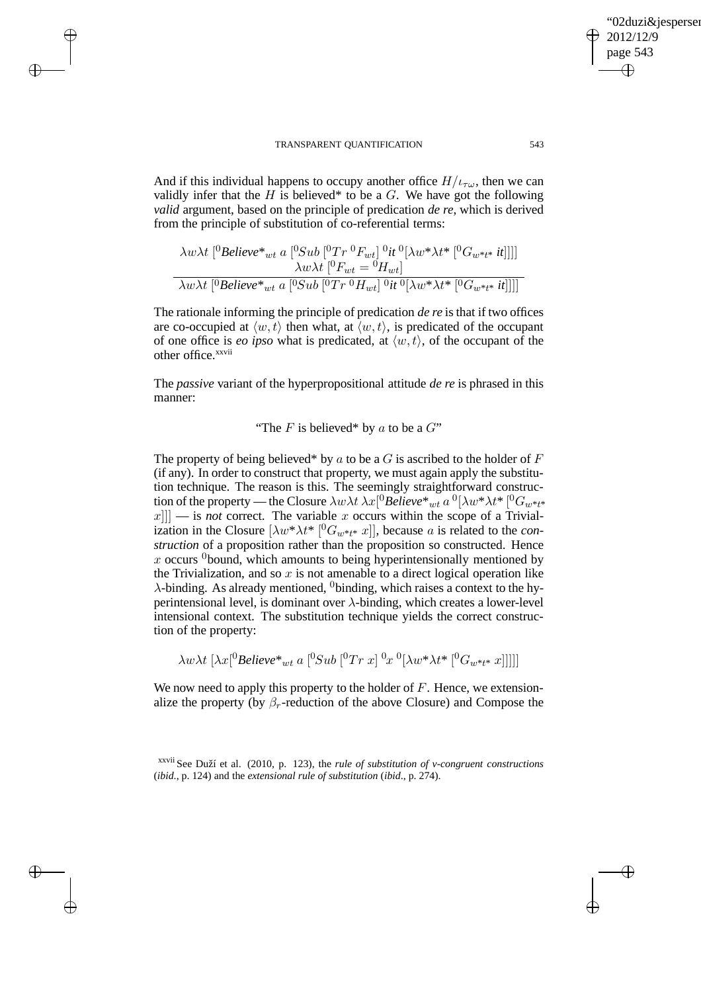$\rightarrow$ 

 $\rightarrow$ 

✐

✐

And if this individual happens to occupy another office  $H/_{t\tau\omega}$ , then we can validly infer that the  $H$  is believed\* to be a  $G$ . We have got the following *valid* argument, based on the principle of predication *de re*, which is derived from the principle of substitution of co-referential terms:

$$
\frac{\lambda w \lambda t}{{^0}Believe^*_{wt}} a [{^0}Sub [{^0}Tr {}^0F_{wt}] {}^0it {}^0[\lambda w^* \lambda t^* [{^0}G_{w^*t^*} it]]]]
$$
  

$$
\frac{\lambda w \lambda t}{{^0}Believe^*_{wt}} a [{^0}Sub [{^0}Tr {}^0H_{wt}] {}^0it {}^0[\lambda w^* \lambda t^* [{^0}G_{w^*t^*} it]]]]
$$

The rationale informing the principle of predication *de re* is that if two offices are co-occupied at  $\langle w, t \rangle$  then what, at  $\langle w, t \rangle$ , is predicated of the occupant of one office is *eo ipso* what is predicated, at  $\langle w, t \rangle$ , of the occupant of the other office.<sup>xxvii</sup>

The *passive* variant of the hyperpropositional attitude *de re* is phrased in this manner:

"The F is believed\* by a to be a  $G$ "

The property of being believed\* by a to be a  $G$  is ascribed to the holder of  $F$ (if any). In order to construct that property, we must again apply the substitution technique. The reason is this. The seemingly straightforward construction of the property — the Closure  $\lambda w \lambda t\,\lambda x [^0Belive^*{}_{wt}$  a  $^0[\lambda w^* \lambda t^* \, [^0G_{w^*t^*}$  $||x||$  is *not* correct. The variable x occurs within the scope of a Trivialization in the Closure  $[\lambda w^* \lambda t^* [^0G_{w^*t^*} x]]$ , because a is related to the *construction* of a proposition rather than the proposition so constructed. Hence x occurs  $\delta$  bound, which amounts to being hyperintensionally mentioned by the Trivialization, and so  $x$  is not amenable to a direct logical operation like  $\lambda$ -binding. As already mentioned, <sup>0</sup>binding, which raises a context to the hyperintensional level, is dominant over  $\lambda$ -binding, which creates a lower-level intensional context. The substitution technique yields the correct construction of the property:

$$
\lambda w \lambda t\ [\lambda x [^0B \textit{elieve}^*{}_{wt} \ a\ [^0\textit{Sub}\ [^0Tr\ x]\ ^0x\ ^0[\lambda w^* \lambda t^*\ [^0G_{w^*t^*}\ x]]]]]
$$

We now need to apply this property to the holder of  $F$ . Hence, we extensionalize the property (by  $\beta_r$ -reduction of the above Closure) and Compose the

xxvii See Duží et al. (2010, p. 123), the *rule of substitution of v-congruent constructions* (*ibid*., p. 124) and the *extensional rule of substitution* (*ibid*., p. 274).

"02duzi&jespersen"

2012/12/9 page 543

✐

✐

✐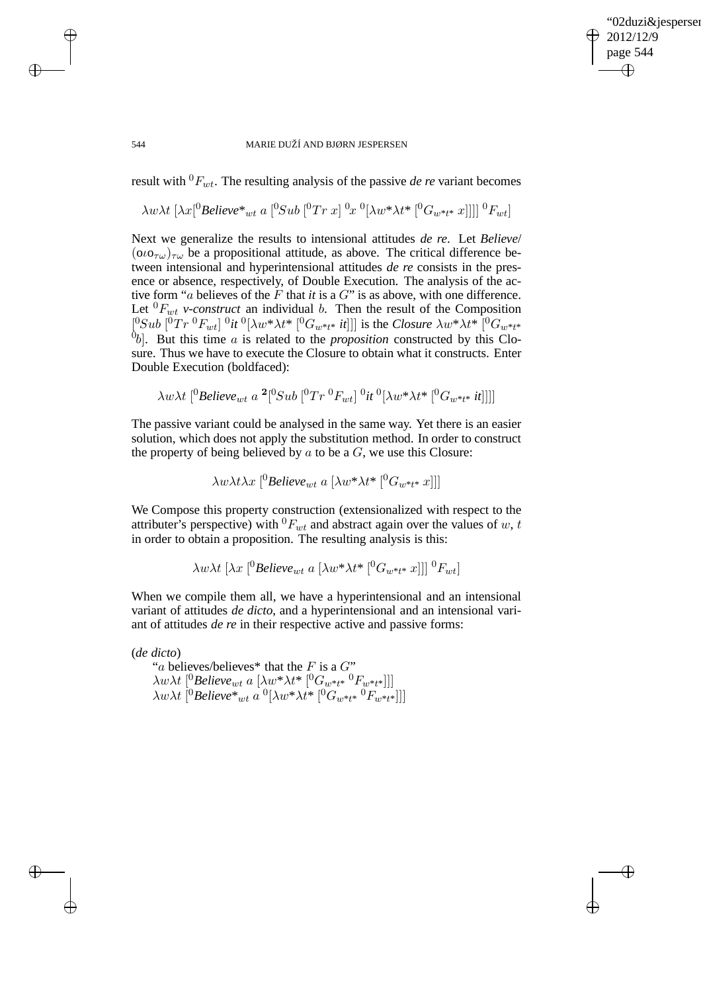✐

#### 544 MARIE DUŽÍ AND BJØRN JESPERSEN

 $\rightarrow$ 

 $\rightarrow$ 

✐

✐

result with  ${}^{0}F_{wt}$ . The resulting analysis of the passive *de re* variant becomes

$$
\lambda w \lambda t \, \left[ \lambda x [^{0}B \text{elieve}^*_{\hspace{2pt} wt} \, a \, [^{0}Sub \, [^{0}Tr \, x] \, ^0x \, ^0[\lambda w^* \lambda t^* \, [^{0}G_{w^*t^*} \, x]]]] \, ^0F_{wt} \right]
$$

Next we generalize the results to intensional attitudes *de re*. Let *Believe*/  $(0.00T_{\text{tot}})_{\text{tot}}$  be a propositional attitude, as above. The critical difference between intensional and hyperintensional attitudes *de re* consists in the presence or absence, respectively, of Double Execution. The analysis of the active form "a believes of the F that *it* is a G" is as above, with one difference. Let  ${}^{0}F_{wt}$  *v-construct* an individual *b*. Then the result of the Composition  $[^0Sub~[^0Tr~^0F_{wt}]~^0it~^0[\lambda w^*\lambda t^*~[^0G_{w^*t^*}~it]]]$  is the *Closure*  $\lambda w^*\lambda t^*~[^0G_{w^*t^*}$  $[0_b]$ . But this time a is related to the *proposition* constructed by this Closure. Thus we have to execute the Closure to obtain what it constructs. Enter Double Execution (boldfaced):

$$
\lambda w \lambda t\ [^0\text{Believe}_{wt}\ a\ ^2 [^0\text{Sub}\ [^0\text{Tr}\ ^0\text{F}_{wt}]\ ^0it\ ^0[\lambda w^*\lambda t^*\ [^0\text{G}_{w^*t^*}\ ^it t]]]]
$$

The passive variant could be analysed in the same way. Yet there is an easier solution, which does not apply the substitution method. In order to construct the property of being believed by  $a$  to be a  $G$ , we use this Closure:

$$
\lambda w \lambda t \lambda x \, [{}^0\text{Believe}_{wt} \, a \, [\lambda w^* \lambda t^* \, [{}^0\text{G}_{w^*t^*} \, x]]]
$$

We Compose this property construction (extensionalized with respect to the attributer's perspective) with  ${}^{0}F_{wt}$  and abstract again over the values of w, t in order to obtain a proposition. The resulting analysis is this:

$$
\lambda w \lambda t \, \left[ \lambda x \, \left[ \begin{matrix} 0 \\ \text{Believe}_{wt} \, a \, \left[ \lambda w^* \lambda t^* \, \left[ \begin{matrix} 0 \\ G_{w^*t^*} \, x \end{matrix} \right] \right] \right] \, \begin{matrix} 0 \\ F_{wt} \end{matrix} \right]
$$

When we compile them all, we have a hyperintensional and an intensional variant of attitudes *de dicto*, and a hyperintensional and an intensional variant of attitudes *de re* in their respective active and passive forms:

(*de dicto*) "a believes/believes\* that the F is a  $G$ "  $\lambda w \lambda t$ <sup>[0</sup>Believe<sub>wt</sub> a [ $\lambda w^* \lambda t^*$  [<sup>0</sup> $G_{w^*t^*}$ <sup>0</sup> $F_{w^*t^*}$ ]]]  $\lambda w \lambda t\ [^0B$ elieve $^*{}_{wt}$  a  $^0[\lambda w^*\lambda t^*\ [^0G_{w^*t^*}~^0F_{w^*t^*}]]]$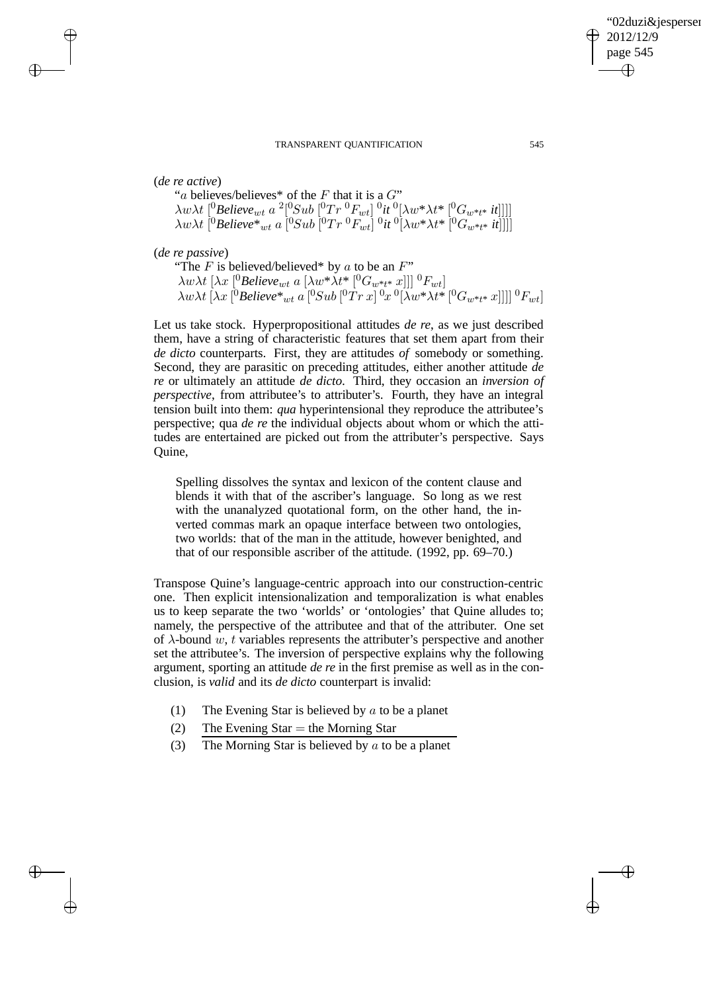$\rightarrow$ 

 $\rightarrow$ 

✐

✐

"a believes/believes\* of the  $F$  that it is a  $G$ "  $\lambda w \lambda t\ [^0Believe_{wt}\ a\ ^2 [^0Sub\ [^0Tr\ ^0F_{wt}]\ ^0it\ ^0[\lambda w^*\lambda t^*\ [^0G_{w^*t^*}\ ^{in}]]]]$  $\lambda w \lambda t\ [^0B$ elieve $^*_{wt}$  a  $[^0Sub\ [^0Tr\ ^0F_{wt}] \ ^0it\ ^0[\lambda w^*\lambda t^*\ [^0G_{w^*t^*}\ ^{i}t]]]]$ 

(*de re passive*)

"The  $F$  is believed/believed\* by  $a$  to be an  $F$ "  $\lambda w \lambda t$  [ $\lambda x$  [<sup>0</sup>*Believe<sub>wt</sub> a* [ $\lambda w^* \lambda t^*$  [<sup>0</sup> $G_{w^*t^*}$  x]]] <sup>0</sup> $F_{wt}$ ]  $\lambda w \lambda t\, [\lambda x\, [^0B$ elieve $^*_{wt}$  a  $[^0Sub\, [^0Tr\, x]\, ^0x\, ^0[\lambda w^*\lambda t^*\, [^0G_{w^*t^*}\, x]]]]\, ^0F_{wt} ]$ 

Let us take stock. Hyperpropositional attitudes *de re*, as we just described them, have a string of characteristic features that set them apart from their *de dicto* counterparts. First, they are attitudes *of* somebody or something. Second, they are parasitic on preceding attitudes, either another attitude *de re* or ultimately an attitude *de dicto*. Third, they occasion an *inversion of perspective*, from attributee's to attributer's. Fourth, they have an integral tension built into them: *qua* hyperintensional they reproduce the attributee's perspective; qua *de re* the individual objects about whom or which the attitudes are entertained are picked out from the attributer's perspective. Says Quine,

Spelling dissolves the syntax and lexicon of the content clause and blends it with that of the ascriber's language. So long as we rest with the unanalyzed quotational form, on the other hand, the inverted commas mark an opaque interface between two ontologies, two worlds: that of the man in the attitude, however benighted, and that of our responsible ascriber of the attitude. (1992, pp. 69–70.)

Transpose Quine's language-centric approach into our construction-centric one. Then explicit intensionalization and temporalization is what enables us to keep separate the two 'worlds' or 'ontologies' that Quine alludes to; namely, the perspective of the attributee and that of the attributer. One set of  $\lambda$ -bound w, t variables represents the attributer's perspective and another set the attributee's. The inversion of perspective explains why the following argument, sporting an attitude *de re* in the first premise as well as in the conclusion, is *valid* and its *de dicto* counterpart is invalid:

- (1) The Evening Star is believed by  $\alpha$  to be a planet
- (2) The Evening Star  $=$  the Morning Star
- (3) The Morning Star is believed by  $\alpha$  to be a planet

'02duzi&jespersen'

2012/12/9 page 545

✐

✐

✐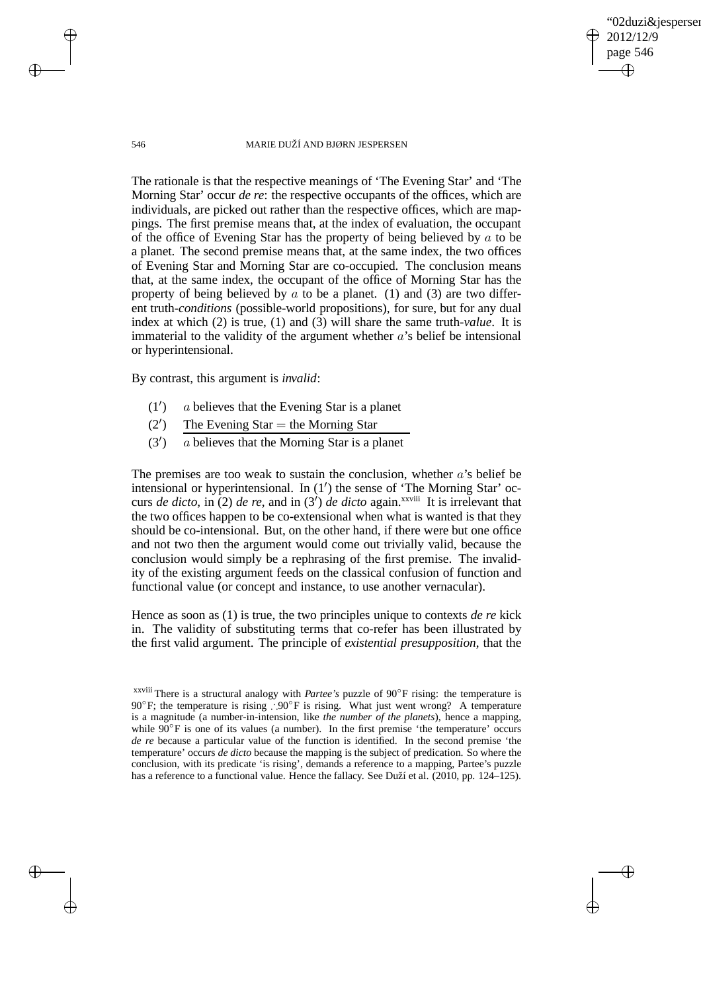02duzi&iespersen 2012/12/9 page 546 ✐ ✐

✐

✐

#### 546 MARIE DUŽÍ AND BJØRN JESPERSEN

The rationale is that the respective meanings of 'The Evening Star' and 'The Morning Star' occur *de re*: the respective occupants of the offices, which are individuals, are picked out rather than the respective offices, which are mappings. The first premise means that, at the index of evaluation, the occupant of the office of Evening Star has the property of being believed by  $a$  to be a planet. The second premise means that, at the same index, the two offices of Evening Star and Morning Star are co-occupied. The conclusion means that, at the same index, the occupant of the office of Morning Star has the property of being believed by  $\alpha$  to be a planet. (1) and (3) are two different truth-*conditions* (possible-world propositions), for sure, but for any dual index at which (2) is true, (1) and (3) will share the same truth-*value*. It is immaterial to the validity of the argument whether  $a$ 's belief be intensional or hyperintensional.

By contrast, this argument is *invalid*:

- $(1')$ ) a believes that the Evening Star is a planet
- $(2')$ The Evening Star  $=$  the Morning Star
- $(3')$ ) a believes that the Morning Star is a planet

The premises are too weak to sustain the conclusion, whether  $a$ 's belief be intensional or hyperintensional. In (1′ ) the sense of 'The Morning Star' occurs *de dicto*, in (2) *de re*, and in (3<sup>'</sup>) *de dicto* again.<sup>xxviii</sup> It is irrelevant that the two offices happen to be co-extensional when what is wanted is that they should be co-intensional. But, on the other hand, if there were but one office and not two then the argument would come out trivially valid, because the conclusion would simply be a rephrasing of the first premise. The invalidity of the existing argument feeds on the classical confusion of function and functional value (or concept and instance, to use another vernacular).

Hence as soon as (1) is true, the two principles unique to contexts *de re* kick in. The validity of substituting terms that co-refer has been illustrated by the first valid argument. The principle of *existential presupposition*, that the

 $\rightarrow$ 

 $\rightarrow$ 

✐

xxviii There is a structural analogy with *Partee's* puzzle of 90◦ F rising: the temperature is 90<sup>°</sup>F; the temperature is rising ∴90<sup>°</sup>F is rising. What just went wrong? A temperature is a magnitude (a number-in-intension, like *the number of the planets*), hence a mapping, while  $90^\circ$ F is one of its values (a number). In the first premise 'the temperature' occurs *de re* because a particular value of the function is identified. In the second premise 'the temperature' occurs *de dicto* because the mapping is the subject of predication. So where the conclusion, with its predicate 'is rising', demands a reference to a mapping, Partee's puzzle has a reference to a functional value. Hence the fallacy. See Duží et al. (2010, pp. 124–125).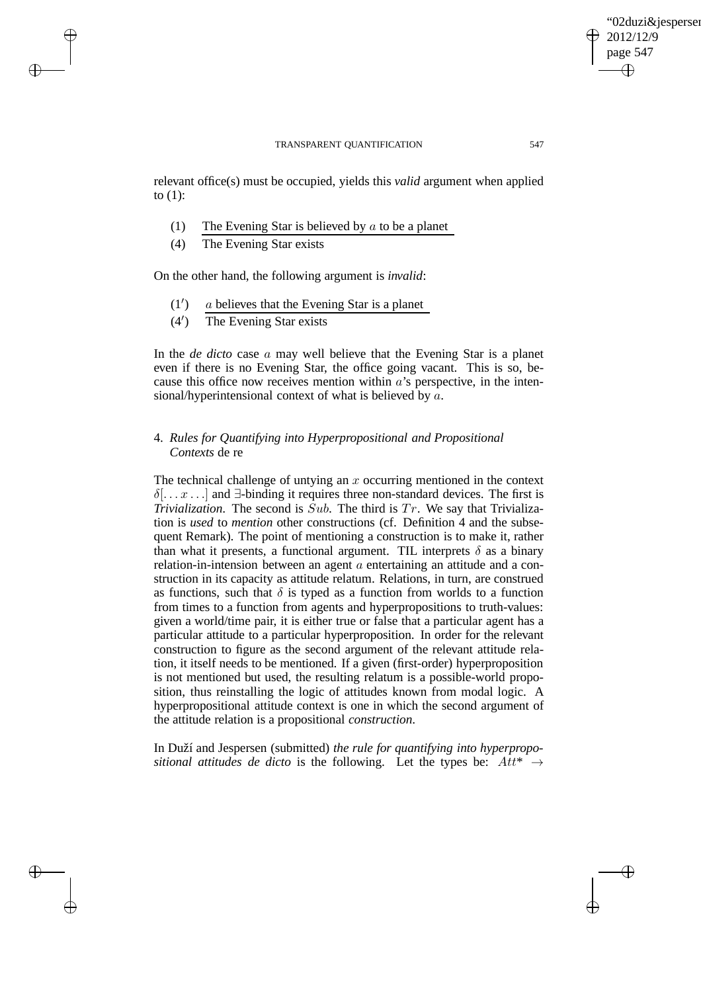relevant office(s) must be occupied, yields this *valid* argument when applied to  $(1)$ :

- (1) The Evening Star is believed by  $a$  to be a planet
- (4) The Evening Star exists

 $\rightarrow$ 

 $\rightarrow$ 

✐

✐

On the other hand, the following argument is *invalid*:

- $(1')$ ) a believes that the Evening Star is a planet
- $(4')$ ) The Evening Star exists

In the *de dicto* case a may well believe that the Evening Star is a planet even if there is no Evening Star, the office going vacant. This is so, because this office now receives mention within  $a$ 's perspective, in the intensional/hyperintensional context of what is believed by a.

# 4. *Rules for Quantifying into Hyperpropositional and Propositional Contexts* de re

The technical challenge of untying an  $x$  occurring mentioned in the context  $\delta$ [...  $x$ ...] and  $\exists$ -binding it requires three non-standard devices. The first is *Trivialization*. The second is  $\hat{S}ub$ . The third is  $Tr$ . We say that Trivialization is *used* to *mention* other constructions (cf. Definition 4 and the subsequent Remark). The point of mentioning a construction is to make it, rather than what it presents, a functional argument. TIL interprets  $\delta$  as a binary relation-in-intension between an agent  $\alpha$  entertaining an attitude and a construction in its capacity as attitude relatum. Relations, in turn, are construed as functions, such that  $\delta$  is typed as a function from worlds to a function from times to a function from agents and hyperpropositions to truth-values: given a world/time pair, it is either true or false that a particular agent has a particular attitude to a particular hyperproposition. In order for the relevant construction to figure as the second argument of the relevant attitude relation, it itself needs to be mentioned. If a given (first-order) hyperproposition is not mentioned but used, the resulting relatum is a possible-world proposition, thus reinstalling the logic of attitudes known from modal logic. A hyperpropositional attitude context is one in which the second argument of the attitude relation is a propositional *construction*.

In Duží and Jespersen (submitted) *the rule for quantifying into hyperpropositional attitudes de dicto* is the following. Let the types be:  $Att^* \rightarrow$ 

✐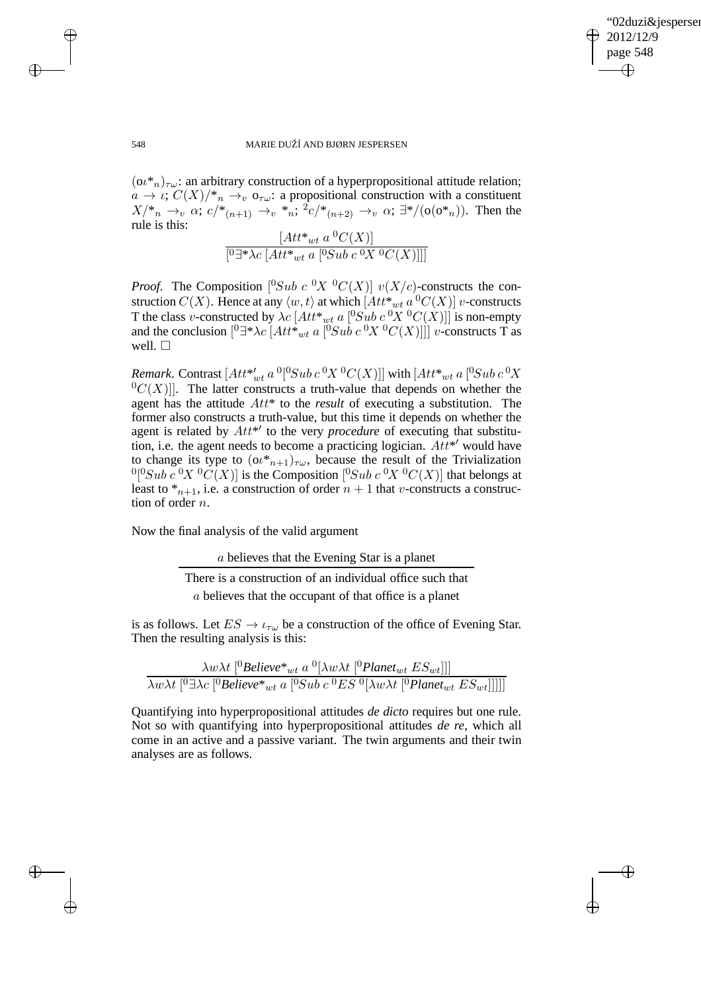✐

#### 548 MARIE DUŽÍ AND BJØRN JESPERSEN

 $(0\ell^*_{n})_{\tau\omega}$ : an arbitrary construction of a hyperpropositional attitude relation;  $a \to \iota$ ;  $C(X)/\mathbb{F}_n \to_{v} \mathfrak{o}_{\tau \omega}$ : a propositional construction with a constituent  $X/\gamma_n \to_v \alpha$ ;  $c/\gamma_{n+1} \to_v \gamma_n$ ;  ${}^2c/\gamma_{n+2} \to_v \alpha$ ;  $\exists \gamma/(\sigma(\sigma \gamma_n))$ . Then the rule is this:

 $[Att^*_{wt} a^0 C(X)]$ [<sup>0</sup>∃\* $\lambda c$  [ $Att^*_{wt}$  a [<sup>0</sup>Sub c <sup>0</sup>X <sup>0</sup>C(X)]]]

*Proof.* The Composition  $[{}^{0}Sub\; c\; {}^{0}X \; {}^{0}C(X)]\; v(X/c)$ -constructs the construction  $C(X)$ . Hence at any  $\langle w, t \rangle$  at which  $[Att^*_{wt} a^0 C(X)]$  v-constructs T the class v-constructed by  $\lambda c$   $[Att^*_{wt}$  a  $[{}^0Sub \, c \, {}^0X$   ${}^0C(X)]$  is non-empty and the conclusion  $[{}^{0}\exists^*\lambda c\; [Att^*_{wt} a\; [{}^{0}Sub\; c\; {}^{0}X\; {}^{0}C(X)]]]$  v-constructs T as well.  $\square$ 

*Remark*. Contrast  $[Att^*_{wt}$  a <sup>0</sup>[<sup>0</sup>Sub c <sup>0</sup>X<sup>0</sup>C(X)]] with  $[Att^*_{wt}$  a [<sup>0</sup>Sub c <sup>0</sup>X  ${}^{0}C(X)$ ]. The latter constructs a truth-value that depends on whether the agent has the attitude Att\* to the *result* of executing a substitution. The former also constructs a truth-value, but this time it depends on whether the agent is related by  $Att^{*'}$  to the very *procedure* of executing that substitution, i.e. the agent needs to become a practicing logician.  $Att^*{}'$  would have to change its type to  $(\alpha^*_{n+1})_{\tau\omega}$ , because the result of the Trivialization  ${}^{0} [{}^{0}Sub \ c \ {}^{0}X \ {}^{0}C(X)]$  is the Composition  $[{}^{0}Sub \ c \ {}^{0}X \ {}^{0}C(X)]$  that belongs at least to  $*_{{n+1}}$ , i.e. a construction of order  $n + 1$  that v-constructs a construction of order n.

Now the final analysis of the valid argument

a believes that the Evening Star is a planet

There is a construction of an individual office such that a believes that the occupant of that office is a planet

is as follows. Let  $ES \to \iota_{\tau\omega}$  be a construction of the office of Evening Star. Then the resulting analysis is this:

$$
\frac{\lambda w \lambda t \left[ \begin{subarray}{c} 0 \text{Believe}^*_{wt} a \end{subarray} \begin{subarray}{c} 0 \left[ \lambda w \lambda t \end{subarray} \begin{subarray}{c} 0 \text{Planet}_{wt} E S_{wt} \end{subarray} \right] \right]}{\lambda w \lambda t \left[ \begin{subarray}{c} 0 \text{Believe}^*_{wt} a \end{subarray} \begin{subarray}{c} 0 \text{Sub } c \end{subarray} \begin{subarray}{c} 0 \text{ES } 0 \left[ \lambda w \lambda t \end{subarray} \begin{subarray}{c} 0 \text{Planet}_{wt} E S_{wt} \right] \right] \right]}
$$

Quantifying into hyperpropositional attitudes *de dicto* requires but one rule. Not so with quantifying into hyperpropositional attitudes *de re*, which all come in an active and a passive variant. The twin arguments and their twin analyses are as follows.

 $\rightarrow$ 

 $\rightarrow$ 

✐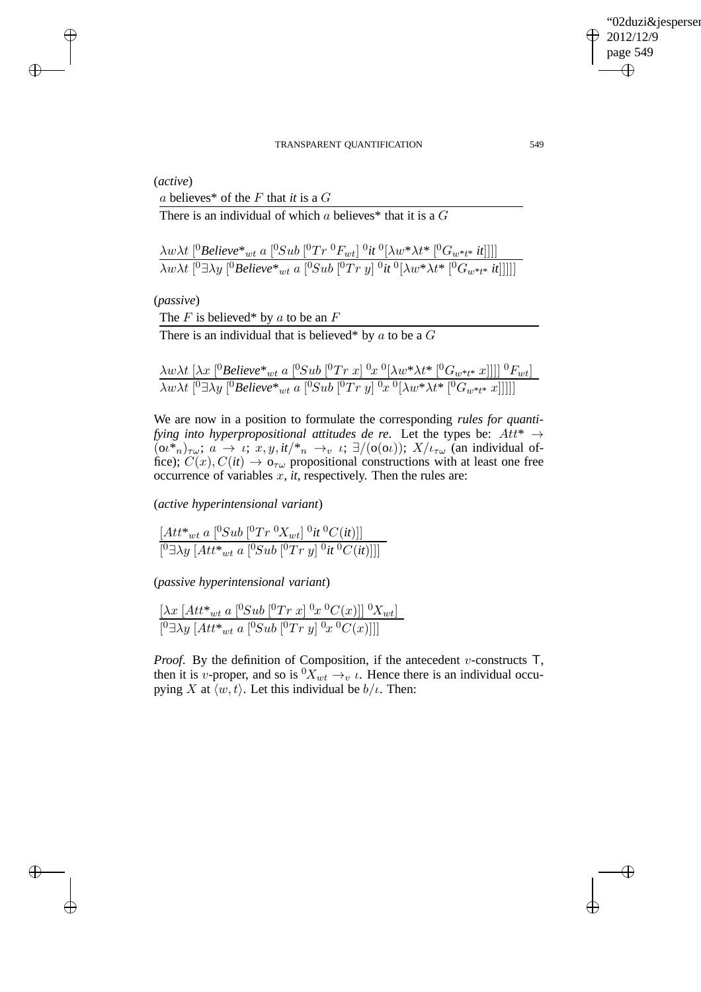✐

#### TRANSPARENT QUANTIFICATION 549

(*active*)

 $\rightarrow$ 

 $\rightarrow$ 

✐

✐

a believes\* of the F that *it* is a G

There is an individual of which a believes\* that it is a  $G$ 

 $\lambda w \lambda t\ [^0Believe^*_{\hspace{2mm} wt}$  a  $[^0Sub\ [^0Tr\ ^0F_{wt}]\ ^0it\ ^0[\lambda w^*\lambda t^*\ [^0G_{w^*t^*}\ ^{in}]]]]$  $\lambda w \lambda t$   $[{}^0 \exists \lambda y$   $[{}^0$ *Believe* ${}^*_{wt}$  *a*  $[{}^0 \hspace{-0.5mm} S u b$   ${}^0 \hspace{-0.5mm} T r$   $y]$   ${}^0$ *it*  ${}^0 \hspace{-0.5mm} [ \lambda w^* \lambda t^*$   $[{}^0 \hspace{-0.5mm} G_{w^* t^*}$  *it*]]]]]

(*passive*)

The  $F$  is believed\* by  $a$  to be an  $F$ 

There is an individual that is believed\* by  $a$  to be a  $G$ 

$$
\frac{\lambda w \lambda t \left[ \lambda x \left[ {}^{0}Believe^*_{wt} a \left[ {}^{0}Sub \left[ {}^{0}Tr \ x \right] {}^{0}x \ {}^{0}[\lambda w^* \lambda t^* \left[ {}^{0}G_{w^*t^*} x \right] \right] \right] \right] {}^{0}F_{wt}]}{\lambda w \lambda t \left[ {}^{0} \exists \lambda y \left[ {}^{0}Believe^*_{wt} a \left[ {}^{0}Sub \left[ {}^{0}Tr \ y \right] {}^{0}x \ {}^{0}[\lambda w^* \lambda t^* \left[ {}^{0}G_{w^*t^*} x \right] \right] \right] \right]}
$$

We are now in a position to formulate the corresponding *rules for quantifying into hyperpropositional attitudes de re.* Let the types be:  $Att^* \rightarrow$  $(\omega^*)_{\tau\omega}$ ;  $a \to \iota$ ;  $x, y, it \rightarrow_n \rightarrow_\iota \iota$ ;  $\exists/(\sigma(\omega))$ ;  $X/\iota_{\tau\omega}$  (an individual office);  $C(x)$ ,  $C(it) \rightarrow o_{\tau\omega}$  propositional constructions with at least one free occurrence of variables  $x$ ,  $it$ , respectively. Then the rules are:

(*active hyperintensional variant*)

 $[Att^*_{wt} a [^0Sub [^0Tr \ ^0X_{wt}] \ ^0it \ ^0C(it)]$  $[^{0}∃λy [Att*_{wt} a [^{0}Sub [^{0}Tr y] ^{0}it ^{0}C(it)]]]$ 

(*passive hyperintensional variant*)

 $[\lambda x \left[ Att^*_{wt} a \left[ {}^{0}Sub \left[ {}^{0}Tr \ x \right] {}^{0}x \ {}^{0}C(x) \right] \right] {}^{0}X_{wt}]$  $[{}^{0}\exists \lambda y \; [Att^*_{wt} \; a \; [{}^{0}\mathcal{S}ub \; [{}^{0}Tr \; y] \; {}^{0}x \; {}^{0}\mathcal{C}(x)]]]$ 

*Proof.* By the definition of Composition, if the antecedent v-constructs T, then it is v-proper, and so is  ${}^0X_{wt} \rightarrow_v \iota$ . Hence there is an individual occupying X at  $\langle w, t \rangle$ . Let this individual be  $b/\iota$ . Then: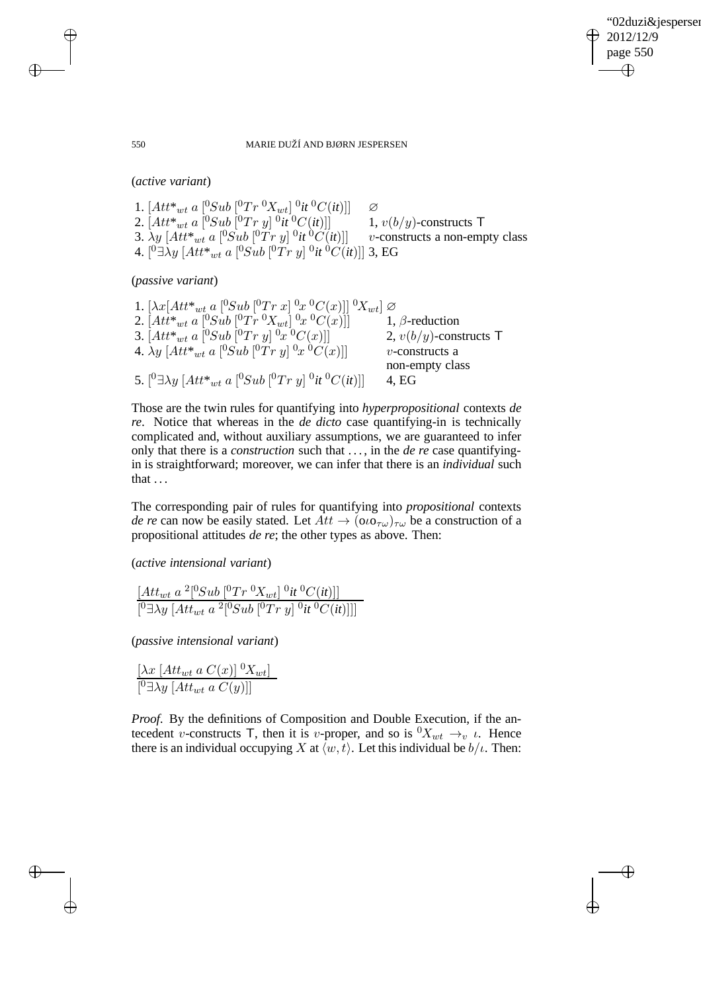✐

#### 550 MARIE DUŽÍ AND BJØRN JESPERSEN

(*active variant*)

1.  $[Att^*_{wt} a [^0Sub [^0Tr \ ^0X_{wt}] \ ^0it \ ^0C(it)]$   $\varnothing$ 2.  $[Att^*_{\ wt}\ a\ [^0Sub\ [^0Tr\ y]\ ^0$ 1,  $v(b/y)$ -constructs T 3.  $\lambda y$  [Att\* $_{wt}$  a [ $^0Sub$  [ $^0Tr$   $y$ ]  $^0$ *v*-constructs a non-empty class 4.  $[{}^0 \exists \lambda y\ [Att^*{}_{wt}$  a  $[{}^0 Sub\ [{}^0 Tr\ y] \ ^0 it \ ^0C (it)]]$  3, EG

(*passive variant*)

| 1. $[\lambda x] Att^*_{wt}$ a $[^0Sub \; ]^0Tr x] \; ^0x \; ^0C(x)$ $] \; ^0X_{wt}$ $] \varnothing$             |                           |
|-----------------------------------------------------------------------------------------------------------------|---------------------------|
| 2. $[Att^*_{wt} a [{}^0Sub [{}^0Tr {}^0X_{wt}] {}^0x {}^0C(x)]]$                                                | 1, $\beta$ -reduction     |
| 3. $[Att^*_{wt} a [^0Sub [^0Tr y] \ ^0x \ ^0C(x)]]$                                                             | 2, $v(b/y)$ -constructs T |
| 4. $\lambda y$ [Att* <sub>wt</sub> a [ <sup>0</sup> Sub [ <sup>0</sup> Tr y] <sup>0</sup> x <sup>0</sup> C(x)]] | $v$ -constructs a         |
|                                                                                                                 | non-empty class           |
| 5. $[{}^0 \exists \lambda y \; [Att^*_{wt} \; a \; [{}^0 Sub \; [{}^0 Tr \; y] \; {}^0 it \; {}^0C(it)]]$       | 4, EG                     |

Those are the twin rules for quantifying into *hyperpropositional* contexts *de re*. Notice that whereas in the *de dicto* case quantifying-in is technically complicated and, without auxiliary assumptions, we are guaranteed to infer only that there is a *construction* such that . . . , in the *de re* case quantifyingin is straightforward; moreover, we can infer that there is an *individual* such that . . .

The corresponding pair of rules for quantifying into *propositional* contexts *de re* can now be easily stated. Let  $Att \rightarrow (oo_{\tau\omega})_{\tau\omega}$  be a construction of a propositional attitudes *de re*; the other types as above. Then:

(*active intensional variant*)

$$
\frac{[Att_{wt} a^2[^0Sub [^0Tr \ ^0X_{wt}] \ ^0it \ ^0C(it)]]}{[^0\exists\lambda y\ [Att_{wt} a^2[^0Sub [^0Tr \ y] \ ^0it \ ^0C(it)]]]}
$$

(*passive intensional variant*)

$$
\frac{\left[\lambda x \left[ Att_{wt} a C(x) \right] {}^{0}X_{wt} \right]}{\left[ {}^{0}\exists \lambda y \left[ Att_{wt} a C(y) \right] \right]}
$$

*Proof*. By the definitions of Composition and Double Execution, if the antecedent v-constructs T, then it is v-proper, and so is  ${}^0X_{wt} \rightarrow_v \iota$ . Hence there is an individual occupying X at  $\langle w, t \rangle$ . Let this individual be  $b/\iota$ . Then:

 $\rightarrow$ 

 $\rightarrow$ 

✐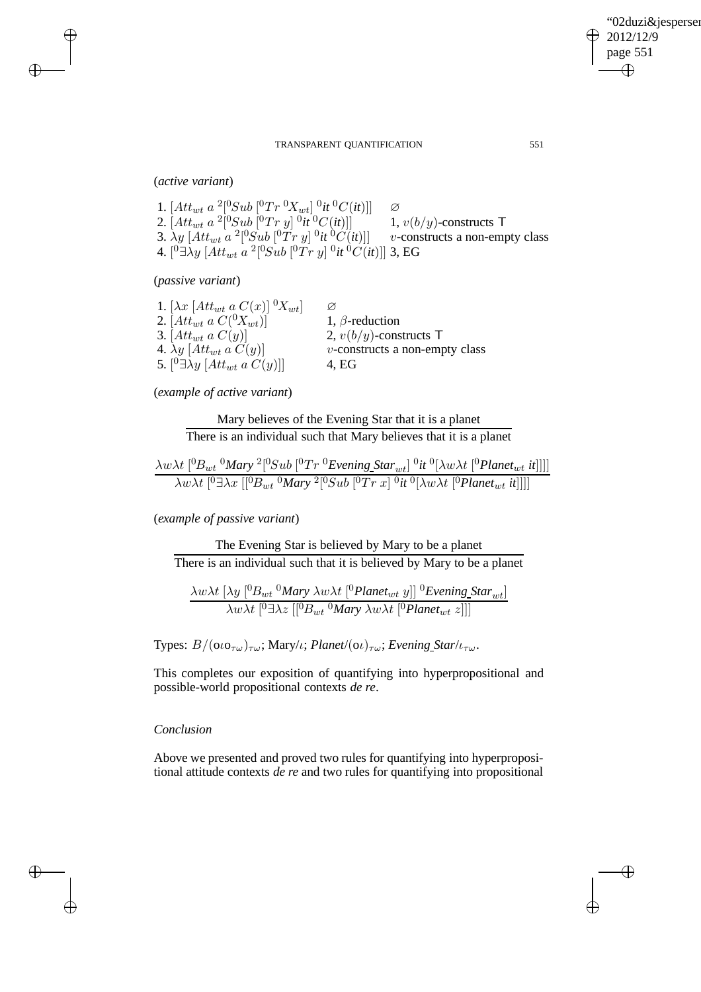(*active variant*)

 $\rightarrow$ 

 $\rightarrow$ 

✐

✐

1.  $[Att_{wt} a^2 [^0Sub [^0Tr \ ^0X_{wt}] \ ^0it \ ^0C(it)]$   $\varnothing$ 2.  $[Att_{wt} a^2 [^0Sub [^0Tr y] ^0it ^0C(it)]$  1,  $v(b/y)$ -constructs T 3.  $\lambda y$   $[Att_{wt} a^2[^0Sub [^0Tr y] ^0it ^0C(it)]$  v-constructs a non-empty class 4.  $[{}^{0}\exists\lambda y\, [Att_{wt}\,a\, {}^{2}[{}^{0}\!Sub\, [{}^{0}Tr\, y]\, {}^{0}it\, {}^{0}\!C(it)]]$  3, EG

(*passive variant*)

| 1. $[\lambda x \left[ Att_{wt} a C(x) \right] \, {}^0\!X_{wt}]$ | Ø                                 |
|-----------------------------------------------------------------|-----------------------------------|
| 2. [ $Att_{wt}$ a $C(^0X_{wt})$ ]                               | 1, $\beta$ -reduction             |
| 3. $[Att_{wt} a C(y)]$                                          | 2, $v(b/y)$ -constructs T         |
| 4. $\lambda y$ [ $Att_{wt}$ a $C(y)$ ]                          | $v$ -constructs a non-empty class |
| 5. $[{}^0 \exists \lambda y \; [Att_{wt} \; a \; C(y)]$         | 4. EG                             |

(*example of active variant*)

Mary believes of the Evening Star that it is a planet There is an individual such that Mary believes that it is a planet

$$
\frac{\lambda w \lambda t\ [^{0}B_{wt} \, ^0 \text{Mary} \, ^2 [^{0}Sub \, [^{0}Tr \, ^0 \text{Evening\_Star}_{wt} ] \, ^0 \text{it}\, ^0 [\lambda w \lambda t\ [^{0} \text{Planet}_{wt} \, \text{it}]]]]}{\lambda w \lambda t\ [^{0} \exists \lambda x\ [^{0}B_{wt} \, ^0 \text{Mary} \, ^2 [^{0} Sub \, [^{0}Tr \, x] \, ^0 \text{it}\, ^0 [\lambda w \lambda t\ [^{0} \text{Planet}_{wt} \, \text{it}]]]]}
$$

(*example of passive variant*)

The Evening Star is believed by Mary to be a planet There is an individual such that it is believed by Mary to be a planet

$$
\frac{\lambda w \lambda t \left[\lambda y \left[^0B_{wt} \,^0Mary \,\lambda w \lambda t \left[^0Planet_{wt} y\right]\right]^0 Evening Star_{wt}\right]}{\lambda w \lambda t \left[^0\exists \lambda z \left[^0B_{wt} \,^0Mary \,\lambda w \lambda t \left[^0Planet_{wt} z\right]\right]\right]}
$$

Types:  $B/(\omega \sigma_{\tau \omega})_{\tau \omega}$ ; Mary/*ι*; *Planet*/( $\omega$ )<sub> $\tau \omega$ </sub>; *Evening\_Star/ι*<sub>τω</sub>.

This completes our exposition of quantifying into hyperpropositional and possible-world propositional contexts *de re*.

## *Conclusion*

Above we presented and proved two rules for quantifying into hyperpropositional attitude contexts *de re* and two rules for quantifying into propositional

 $\oplus$ 

✐

"02duzi&jespersen"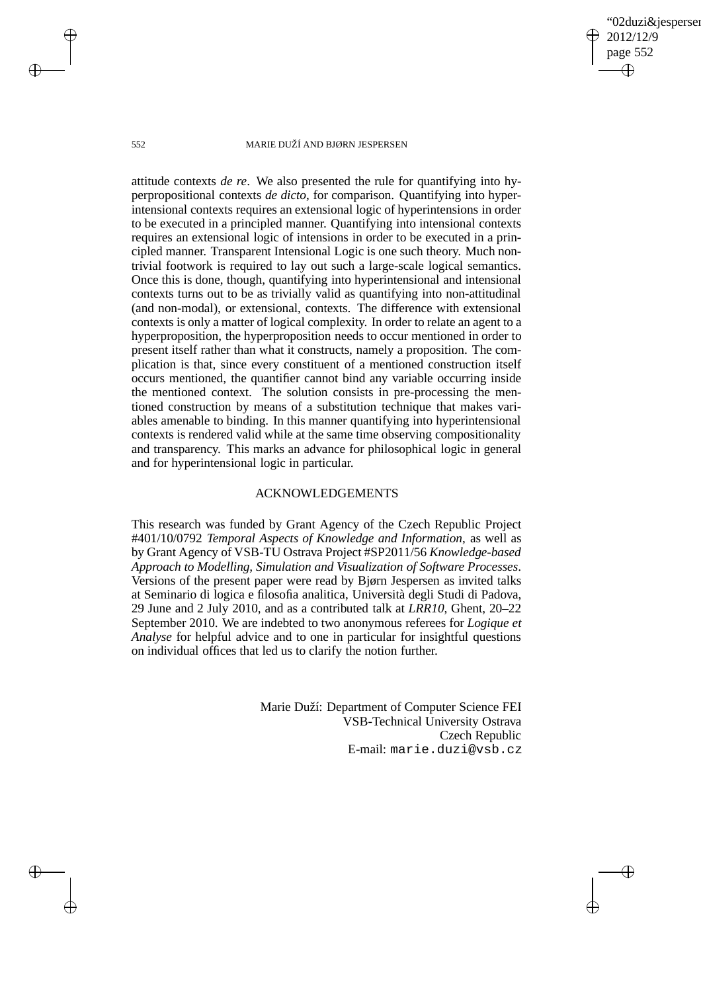02duzi&iespersen 2012/12/9 page 552 ✐ ✐

✐

✐

#### 552 MARIE DUŽÍ AND BJØRN JESPERSEN

attitude contexts *de re*. We also presented the rule for quantifying into hyperpropositional contexts *de dicto*, for comparison. Quantifying into hyperintensional contexts requires an extensional logic of hyperintensions in order to be executed in a principled manner. Quantifying into intensional contexts requires an extensional logic of intensions in order to be executed in a principled manner. Transparent Intensional Logic is one such theory. Much nontrivial footwork is required to lay out such a large-scale logical semantics. Once this is done, though, quantifying into hyperintensional and intensional contexts turns out to be as trivially valid as quantifying into non-attitudinal (and non-modal), or extensional, contexts. The difference with extensional contexts is only a matter of logical complexity. In order to relate an agent to a hyperproposition, the hyperproposition needs to occur mentioned in order to present itself rather than what it constructs, namely a proposition. The complication is that, since every constituent of a mentioned construction itself occurs mentioned, the quantifier cannot bind any variable occurring inside the mentioned context. The solution consists in pre-processing the mentioned construction by means of a substitution technique that makes variables amenable to binding. In this manner quantifying into hyperintensional contexts is rendered valid while at the same time observing compositionality and transparency. This marks an advance for philosophical logic in general and for hyperintensional logic in particular.

## ACKNOWLEDGEMENTS

This research was funded by Grant Agency of the Czech Republic Project #401/10/0792 *Temporal Aspects of Knowledge and Information*, as well as by Grant Agency of VSB-TU Ostrava Project #SP2011/56 *Knowledge-based Approach to Modelling, Simulation and Visualization of Software Processes*. Versions of the present paper were read by Bjørn Jespersen as invited talks at Seminario di logica e filosofia analitica, Università degli Studi di Padova, 29 June and 2 July 2010, and as a contributed talk at *LRR10*, Ghent, 20–22 September 2010. We are indebted to two anonymous referees for *Logique et Analyse* for helpful advice and to one in particular for insightful questions on individual offices that led us to clarify the notion further.

> Marie Duží: Department of Computer Science FEI VSB-Technical University Ostrava Czech Republic E-mail: marie.duzi@vsb.cz

 $\rightarrow$ 

 $\rightarrow$ 

✐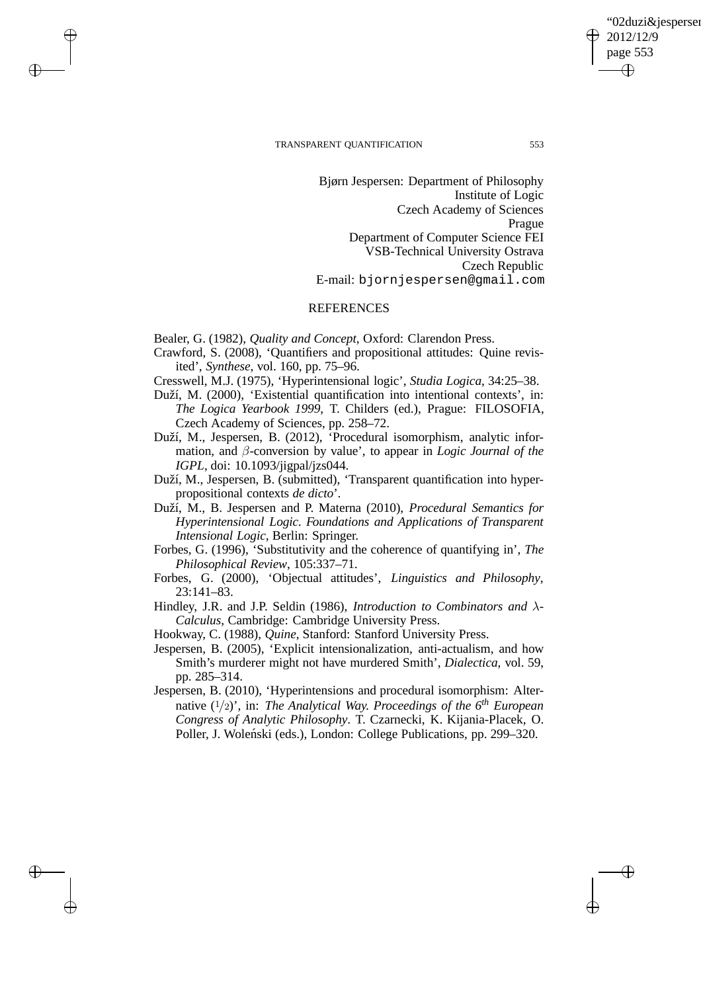$\rightarrow$ 

 $\rightarrow$ 

✐

✐

'02duzi&iespersen 2012/12/9 page 553 ✐ ✐

✐

✐

Bjørn Jespersen: Department of Philosophy Institute of Logic Czech Academy of Sciences Prague Department of Computer Science FEI VSB-Technical University Ostrava Czech Republic E-mail: bjornjespersen@gmail.com

### **REFERENCES**

Bealer, G. (1982), *Quality and Concept*, Oxford: Clarendon Press.

- Crawford, S. (2008), 'Quantifiers and propositional attitudes: Quine revisited', *Synthese*, vol. 160, pp. 75–96.
- Cresswell, M.J. (1975), 'Hyperintensional logic', *Studia Logica*, 34:25–38.
- Duží, M. (2000), 'Existential quantification into intentional contexts', in: *The Logica Yearbook 1999*, T. Childers (ed.), Prague: FILOSOFIA, Czech Academy of Sciences, pp. 258–72.
- Duží, M., Jespersen, B. (2012), 'Procedural isomorphism, analytic information, and β-conversion by value', to appear in *Logic Journal of the IGPL*, doi: 10.1093/jigpal/jzs044.
- Duží, M., Jespersen, B. (submitted), 'Transparent quantification into hyperpropositional contexts *de dicto*'.
- Duží, M., B. Jespersen and P. Materna (2010), *Procedural Semantics for Hyperintensional Logic. Foundations and Applications of Transparent Intensional Logic*, Berlin: Springer.
- Forbes, G. (1996), 'Substitutivity and the coherence of quantifying in', *The Philosophical Review*, 105:337–71.
- Forbes, G. (2000), 'Objectual attitudes', *Linguistics and Philosophy*, 23:141–83.

Hindley, J.R. and J.P. Seldin (1986), *Introduction to Combinators and* λ*-Calculus*, Cambridge: Cambridge University Press.

- Hookway, C. (1988), *Quine*, Stanford: Stanford University Press.
- Jespersen, B. (2005), 'Explicit intensionalization, anti-actualism, and how Smith's murderer might not have murdered Smith', *Dialectica*, vol. 59, pp. 285–314.
- Jespersen, B. (2010), 'Hyperintensions and procedural isomorphism: Alternative (1/2)', in: *The Analytical Way. Proceedings of the 6th European Congress of Analytic Philosophy*. T. Czarnecki, K. Kijania-Placek, O. Poller, J. Woleński (eds.), London: College Publications, pp. 299–320.